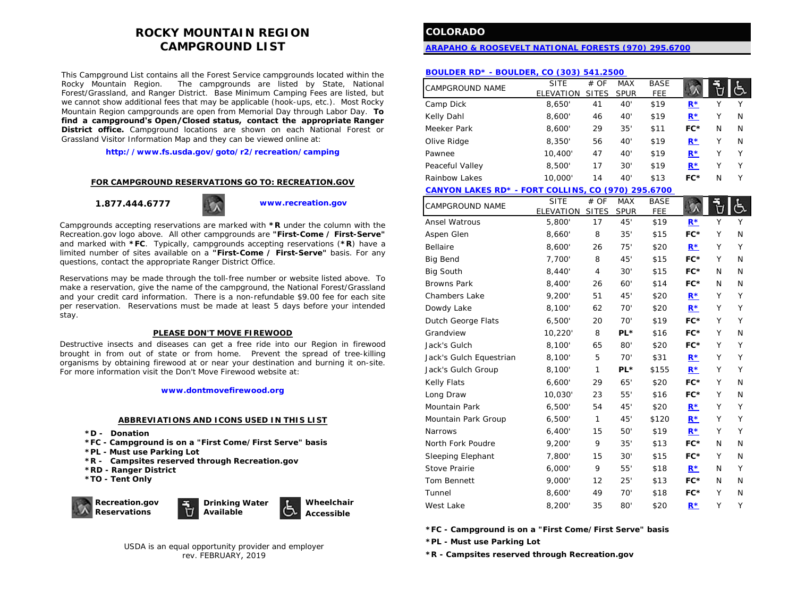# **ROCKY MOUNTAIN REGION CAMPGROUND LIST**

This Campground List contains all the Forest Service campgrounds located within the The campgrounds are listed by State, National Forest/Grassland, and Ranger District. Base Minimum Camping Fees are listed, but we cannot show additional fees that may be applicable (hook-ups, etc.). Most Rocky Mountain Region campgrounds are open from Memorial Day through Labor Day. **To find a campground's Open/Closed status, contact the appropriate Ranger District office.** Campground locations are shown on each National Forest or Grassland Visitor Information Map and they can be viewed online at:

**<http://www.fs.usda.gov/goto/r2/recreation/camping>**

#### **FOR CAMPGROUND RESERVATIONS GO TO: RECREATION.GOV**

**1.877.444.6777 [www.recreation.gov](http://www.recreation.gov/)**

Campgrounds accepting reservations are marked with **\*R** under the column with the Recreation.gov logo above. All other campgrounds are **"First-Come / First-Serve"**  and marked with **\*FC**. Typically, campgrounds accepting reservations (**\*R**) have a limited number of sites available on a **"First-Come / First-Serve"** basis. For any questions, contact the appropriate Ranger District Office.

Reservations may be made through the toll-free number or website listed above. To make a reservation, give the name of the campground, the National Forest/Grassland and your credit card information. There is a non-refundable \$9.00 fee for each site per reservation. Reservations must be made at least 5 days before your intended stay.

#### **PLEASE DON'T MOVE FIREWOOD**

Destructive insects and diseases can get a free ride into our Region in firewood brought in from out of state or from home. Prevent the spread of tree-killing organisms by obtaining firewood at or near your destination and burning it on-site. For more information visit the Don't Move Firewood website at:

#### **[www.dontmovefirewood.org](http://www.dontmovefirewood.org/)**

#### **ABBREVIATIONS AND ICONS USED IN THIS LIST**

- **\*D - Donation**
- **\*FC - Campground is on a "First Come/First Serve" basis**
- **\*PL - Must use Parking Lot**
- **\*R - Campsites reserved through Recreation.gov**
- **\*RD - Ranger District**
- **\*TO - Tent Only**



USDA is an equal opportunity provider and employer rev. FEBRUARY, 2019

# **COLORADO**

#### **[ARAPAHO & ROOSEVELT NATIONAL FORESTS \(970\)](http://www.fs.usda.gov/arp) 295.6700**

#### **[BOULDER RD\\* - BOULDER, CO \(303\) 541.2500](http://www.fs.usda.gov/wps/portal/fsinternet/!ut/p/c5/04_SB8K8xLLM9MSSzPy8xBz9CP0os3gjAwhwtDDw9_AI8zPyhQoYAOUjMeXDfODy-HWHg-zDrx8kb4ADOBro-3nk56bqF-RGGGSZOCoCAPi8eX8!/dl3/d3/L2dJQSEvUUt3QS9ZQnZ3LzZfMjAwMDAwMDBBODBPSEhWTjJNMDAwMDAwMDA!/?navtype=BROWSEBYSUB)**

| <b>CAMPGROUND NAME</b> | <b>SITE</b>             | # OF         | <b>MAX</b>  | <b>BASE</b> |       |   |   |
|------------------------|-------------------------|--------------|-------------|-------------|-------|---|---|
|                        | <b>ELEVATION</b>        | <b>SITES</b> | <b>SPUR</b> | FEE         |       |   |   |
| Camp Dick              | 8.650                   | 41           | 40'         | \$19        | $R^*$ | Υ |   |
| Kelly Dahl             | 8,600'                  | 46           | 40'         | \$19        | $R^*$ | Υ | N |
| Meeker Park            | 8,600'                  | 29           | 35'         | \$11        | FC*   | N | N |
| Olive Ridge            | 8,350'                  | 56           | 40'         | \$19        | $R^*$ | Υ | N |
| Pawnee                 | 10,400'                 | 47           | 40'         | \$19        | $R^*$ | Υ | Υ |
| Peaceful Valley        | 8,500'                  | 17           | 30'         | \$19        | $R*$  | Υ | Υ |
| Rainbow Lakes          | 10,000                  | 14           | 40'         | \$13        | FC*   | N | Υ |
| <b>AABBIASI LAIFA</b>  | - - - - - - - - - - - - |              |             |             |       |   |   |

**[CANYON LAKES RD\\* - FORT COLLINS, CO \(970\) 295.6700](http://www.fs.usda.gov/detail/arp/about-forest/?cid=fsm91_058262)** 

| CAMPGROUND NAME         | <b>SITE</b> | # OF         | <b>MAX</b>  | <b>BASE</b> |             |   | 占 |
|-------------------------|-------------|--------------|-------------|-------------|-------------|---|---|
|                         | ELEVATION   | <b>SITES</b> | <b>SPUR</b> | <b>FEE</b>  |             |   |   |
| <b>Ansel Watrous</b>    | 5,800'      | 17           | 45'         | \$19        | $R^*$       | Y | Y |
| Aspen Glen              | 8,660'      | 8            | 35'         | \$15        | FC*         | Υ | N |
| Bellaire                | 8,600'      | 26           | 75'         | \$20        | $R^*$       | Υ | Υ |
| <b>Big Bend</b>         | 7,700'      | 8            | 45'         | \$15        | FC*         | Y | N |
| <b>Big South</b>        | 8,440'      | 4            | 30'         | \$15        | FC*         | N | N |
| <b>Browns Park</b>      | 8,400'      | 26           | 60'         | \$14        | FC*         | N | N |
| Chambers Lake           | 9,200'      | 51           | 45'         | \$20        | $R^{\star}$ | Υ | Υ |
| Dowdy Lake              | 8,100'      | 62           | 70'         | \$20        | $R^*$       | Y | Y |
| Dutch George Flats      | 6,500'      | 20           | 70'         | \$19        | FC*         | Υ | Y |
| Grandview               | 10,220'     | 8            | PL*         | \$16        | FC*         | Υ | N |
| Jack's Gulch            | 8,100'      | 65           | 80'         | \$20        | FC*         | Υ | Υ |
| Jack's Gulch Equestrian | 8,100'      | 5            | 70'         | \$31        | $R^*$       | Υ | Y |
| Jack's Gulch Group      | 8,100'      | $\mathbf{1}$ | PL*         | \$155       | $R^*$       | Υ | Y |
| Kelly Flats             | 6,600'      | 29           | 65'         | \$20        | FC*         | Υ | N |
| Long Draw               | 10,030'     | 23           | 55'         | \$16        | FC*         | Υ | N |
| Mountain Park           | 6,500'      | 54           | 45'         | \$20        | $R^*$       | Υ | Y |
| Mountain Park Group     | 6,500'      | $\mathbf{1}$ | 45'         | \$120       | $R^*$       | Υ | Y |
| <b>Narrows</b>          | 6,400'      | 15           | 50'         | \$19        | $R^*$       | Υ | Υ |
| North Fork Poudre       | 9,200'      | 9            | 35'         | \$13        | FC*         | N | N |
| Sleeping Elephant       | 7,800'      | 15           | 30'         | \$15        | FC*         | Υ | N |
| Stove Prairie           | 6,000'      | 9            | 55'         | \$18        | $R^*$       | N | Y |
| Tom Bennett             | 9,000'      | 12           | 25'         | \$13        | FC*         | N | N |
| Tunnel                  | 8,600'      | 49           | 70'         | \$18        | FC*         | Υ | N |
| West Lake               | 8,200'      | 35           | 80'         | \$20        | $R^*$       | Υ | Υ |

**\*FC - Campground is on a "First Come/First Serve" basis**

**\*PL - Must use Parking Lot**

**\*R - Campsites reserved through Recreation.gov**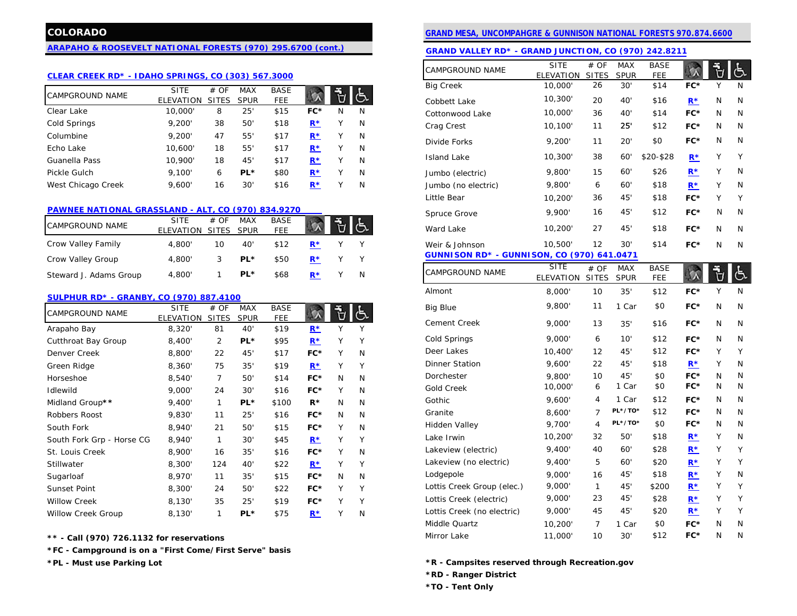## **[ARAPAHO & ROOSEVELT NATIONAL FORESTS \(970\)](http://www.fs.usda.gov/arp) 295.6700 (cont.)**

# **[CLEAR CREEK RD\\* - IDAHO SPRINGS, CO \(303\) 567.3000](http://www.fs.usda.gov/wps/portal/fsinternet/!ut/p/c5/04_SB8K8xLLM9MSSzPy8xBz9CP0os3gjAwhwtDDw9_AI8zPwhQoY6IeDdGCqCPOBqwDLG-AAjgb6fh75uan6BdnZaY6OiooA1tkqlQ!!/dl3/d3/L2dJQSEvUUt3QS9ZQnZ3LzZfMjAwMDAwMDBBODBPSEhWTjJNMDAwMDAwMDA!/?navtype=BROWSEBYSUBJECT&cid)**

|                        | SITE      | # OF         | <b>MAX</b>  | <b>BASE</b> |       | EΤ |   | <b>BIG Creek</b>    | 10,000. | 26 | 30°          | \$14        | FC*   |   |              |
|------------------------|-----------|--------------|-------------|-------------|-------|----|---|---------------------|---------|----|--------------|-------------|-------|---|--------------|
| <b>CAMPGROUND NAME</b> | ELEVATION | <b>SITES</b> | <b>SPUR</b> | <b>FEE</b>  |       |    |   | Cobbett Lake        | 10,300' | 20 | $40^{\circ}$ | \$16        | $R^*$ | N | N            |
| Clear Lake             | 10,000'   | 8            | 25          | \$15        | $FC*$ | N  | N | Cottonwood Lake     | 10,000' | 36 | 40'          | \$14        | FC*   | N | $\mathbb{N}$ |
| Cold Springs           | 9,200'    | 38           | 50          | \$18        | $R^*$ |    | N | Crag Crest          | 10,100  |    | 25'          | \$12        | FC*   | N | $\mathbb{N}$ |
| Columbine              | 9,200'    | 47           | 55          | \$17        | $R^*$ |    | N | Divide Forks        | 9,200   |    | 20'          | \$0         | FC*   | N |              |
| Echo Lake              | 10.600'   | 18           | 55          | \$17        | $R^*$ |    | N |                     |         |    |              |             |       |   |              |
| Guanella Pass          | 10.900'   | 18           | 45'         | \$17        | $R^*$ |    | N | Island Lake         | 10,300  | 38 | 60'          | $$20 - $28$ | $R^*$ |   |              |
| Pickle Gulch           | 9.100'    | 6            | PL*         | \$80        | $R^*$ |    | N | Jumbo (electric)    | 9,800'  | 15 | 60'          | \$26        | $R*$  | v |              |
| West Chicago Creek     | 9.600'    | 16           | 30          | \$16        | $R^*$ |    | N | Jumbo (no electric) | 9,800'  | 6  | 60'          | \$18        | $R*$  |   |              |

#### **[PAWNEE NATIONAL GRASSLAND -](http://www.fs.usda.gov/wps/portal/fsinternet/!ut/p/c5/04_SB8K8xLLM9MSSzPy8xBz9CP0os3gjAwhwtDDw9_AI8zPwhQoY6IeDdGCqCPOBqwDLG-AAjgb6fh75uan6BdnZaY6OiooA1tkqlQ!!/dl3/d3/L2dJQSEvUUt3QS9ZQnZ3LzZfMjAwMDAwMDBBODBPSEhWTjJNMDAwMDAwMDA!/?navtype=BROWSEBYSUBJECT&cid) ALT, CO (970) 834.9270**

| <b>CAMPGROUND NAME</b> | <b>SITE</b><br>ELEVATION | # OF<br>SITES SPUR | <b>MAX</b> | <b>BASE</b><br>FEE |       |   | ----------<br>Ward Lake |
|------------------------|--------------------------|--------------------|------------|--------------------|-------|---|-------------------------|
| Crow Valley Family     | 4.800'                   | 10                 | 40'        | \$12               | $R^*$ |   | Weir & Johnson          |
| Crow Valley Group      | 4.800'                   |                    | PL*        | \$50               | $R^*$ |   | <b>GUNNISON RD* - 0</b> |
| Steward J. Adams Group | 4,800'                   |                    | PL*        | \$68               | $R^*$ | N | <b>CAMPGROUND NAME</b>  |

#### **[SULPHUR RD\\* - GRANBY, CO \(970\) 887.4100](http://www.fs.usda.gov/wps/portal/fsinternet/!ut/p/c5/04_SB8K8xLLM9MSSzPy8xBz9CP0os3gjAwhwtDDw9_AI8zPwhQoY6IeDdGCqCPOBqwDLG-AAjgb6fh75uan6BdnZaY6OiooA1tkqlQ!!/dl3/d3/L2dJQSEvUUt3QS9ZQnZ3LzZfMjAwMDAwMDBBODBPSEhWTjJNMDAwMDAwMDA!/?navtype=BROWSEBYSUBJECT&cid)**

| CAMPGROUND NAME           | <b>SITE</b> | # OF           | <b>MAX</b>  | <b>BASE</b> |       |        |   | <b>Big Blue</b>            | 9,800'  | 11 | Car     | \$0   | FC*                              | N | N |
|---------------------------|-------------|----------------|-------------|-------------|-------|--------|---|----------------------------|---------|----|---------|-------|----------------------------------|---|---|
|                           | ELEVATION   | <b>SITES</b>   | <b>SPUR</b> | FEE.        |       |        |   | Cement Creek               | 9,000'  | 13 | 35'     | \$16  | FC*                              | N | N |
| Arapaho Bay               | 8,320'      | 81             | 40'         | \$19        | $R^*$ |        |   |                            |         |    |         |       |                                  |   |   |
| Cutthroat Bay Group       | 8,400'      | $\overline{2}$ | PL*         | \$95        | $R^*$ |        |   | Cold Springs               | 9,000'  | 6  | 10'     | \$12  | FC*                              | N |   |
| Denver Creek              | 8,800'      | 22             | 45'         | \$17        | $FC*$ |        | N | Deer Lakes                 | 10,400' | 12 | 45'     | \$12  | FC*                              |   |   |
| Green Ridge               | 8,360'      | 75             | 35'         | \$19        | $R^*$ | Υ      |   | <b>Dinner Station</b>      | 9,600'  | 22 | 45'     | \$18  | $R^*$                            |   |   |
| Horseshoe                 | 8,540       | 7              | 50'         | \$14        | $FC*$ | N      | N | Dorchester                 | 9,800'  | 10 | 45'     | \$0   | FC*                              | N |   |
| Idlewild                  | 9,000'      | 24             | 30'         | \$16        | $FC*$ |        | N | <b>Gold Creek</b>          | 10,000  | 6  | Car     | \$0   | FC*                              | N |   |
| Midland Group**           | 9,400'      | 1              | PL*         | \$100       | $R^*$ | N      | N | Gothic                     | 9,600'  | 4  | Car     | \$12  | FC*                              | N |   |
| Robbers Roost             | 9,830'      | 11             | 25'         | \$16        | $FC*$ | N      | N | Granite                    | 8,600'  |    | PL*/TO* | \$12  | FC*                              | N |   |
| South Fork                | 8,940'      | 21             | 50'         | \$15        | FC*   |        | N | Hidden Valley              | 9,700'  | 4  | PL*/TO* | \$0   | FC*                              | N |   |
| South Fork Grp - Horse CG | 8,940       | 1              | 30'         | \$45        | $R^*$ |        |   | Lake Irwin                 | 10,200  | 32 | 50'     | \$18  | $R^*$                            |   | N |
| St. Louis Creek           | 8,900'      | 16             | 35'         | \$16        | $FC*$ | $\vee$ | N | Lakeview (electric)        | 9,400'  | 40 | 60'     | \$28  | $\underline{\mathbf{R}^*}$       |   |   |
| Stillwater                | 8,300'      | 124            | 40'         | \$22        | $R^*$ | $\vee$ |   | Lakeview (no electric)     | 9,400'  | 5  | 60'     | \$20  | $R^*$                            |   |   |
| Sugarloaf                 | 8,970'      | 11             | 35'         | \$15        | $FC*$ | N      | N | Lodgepole                  | 9,000'  | 16 | 45'     | \$18  | $R^{\star}$                      |   | N |
| Sunset Point              | 8,300'      | 24             | 50'         | \$22        | FC*   |        |   | Lottis Creek Group (elec.) | 9,000'  |    | 45'     | \$200 | $\underline{\mathbf{R}}^{\star}$ |   |   |
| <b>Willow Creek</b>       | 8,130'      | 35             | 25'         | \$19        | $FC*$ | v      |   | Lottis Creek (electric)    | 9,000'  | 23 | 45'     | \$28  | $R^*$                            |   |   |
| <b>Willow Creek Group</b> | 8.130'      |                | PL*         | \$75        | $R^*$ |        | N | Lottis Creek (no electric) | 9,000'  | 45 | 45'     | \$20  | $\underline{\mathsf{R}}^{\star}$ |   |   |

**\*\* - Call (970) 726.1132 for reservations** 

**\*FC - Campground is on a "First Come/First Serve" basis**

# **COLORADO [GRAND MESA, UNCOMPAHGRE & GUNNISON NATIONAL FORESTS 970.874.6600](http://www.fs.usda.gov/gmug)**

| <u>ARAFAHU &amp; RUUSEVELT IVATTUIVAL FURESTS (970) 295.0700 (COIII.)</u> |                                |                |                           |                           |                                  |   |   | GRAND VALLEY RD* - GRAND JUNCTION, CO (970) 242.8211 |                                |                      |                           |                           |             |    |     |
|---------------------------------------------------------------------------|--------------------------------|----------------|---------------------------|---------------------------|----------------------------------|---|---|------------------------------------------------------|--------------------------------|----------------------|---------------------------|---------------------------|-------------|----|-----|
| <b>CLEAR CREEK RD* - IDAHO SPRINGS, CO (303) 567.3000</b>                 |                                |                |                           |                           |                                  |   |   | CAMPGROUND NAME                                      | <b>SITE</b><br>ELEVATION       | # OF<br><b>SITES</b> | <b>MAX</b><br><b>SPUR</b> | <b>BASE</b><br><b>FEE</b> | 5Λ          | Ů  | 占   |
|                                                                           | <b>SITE</b>                    | # OF           | <b>MAX</b>                | <b>BASE</b>               |                                  |   |   | <b>Big Creek</b>                                     | 10,000                         | 26                   | 30'                       | \$14                      | FC*         | Υ  | N   |
| CAMPGROUND NAME                                                           | ELEVATION SITES                |                | <b>SPUR</b>               | <b>FEE</b>                | $\alpha$                         | ď | 占 | Cobbett Lake                                         | 10,300'                        | 20                   | 40'                       | \$16                      | $R*$        | N  | N   |
| Clear Lake                                                                | 10,000                         | 8              | 25'                       | \$15                      | FC*                              | N | N | Cottonwood Lake                                      | 10,000                         | 36                   | 40'                       | \$14                      | FC*         | N  | N   |
| Cold Springs                                                              | 9,200'                         | 38             | 50'                       | \$18                      | $R^*$                            | Υ | N | Crag Crest                                           | 10,100                         | 11                   | 25"                       | \$12                      | FC*         | N  | N   |
| Columbine                                                                 | 9,200'                         | 47             | 55'                       | \$17                      | $R^*$                            | Υ | N | Divide Forks                                         | 9,200'                         | 11                   | 20'                       | \$0                       | FC*         | N  | N   |
| Echo Lake                                                                 | 10,600                         | 18             | 55'                       | \$17                      | $R^{\star}$                      | Υ | N |                                                      |                                |                      |                           |                           |             |    |     |
| Guanella Pass                                                             | 10,900'                        | 18             | 45                        | \$17                      | $R^*$                            | Y | N | <b>Island Lake</b>                                   | 10,300                         | 38                   | 60'                       | \$20-\$28                 | $R^*$       | Υ  | Y   |
| Pickle Gulch                                                              | 9,100'                         | 6              | PL*                       | \$80                      | $R^{\star}$                      | Y | N | Jumbo (electric)                                     | 9,800'                         | 15                   | 60'                       | \$26                      | $R^{\star}$ | Υ  | N   |
| West Chicago Creek                                                        | 9,600'                         | 16             | 30'                       | \$16                      | $R^*$                            | Υ | N | Jumbo (no electric)                                  | 9,800'                         | 6                    | 60'                       | \$18                      | $R^*$       | Υ  | N   |
|                                                                           |                                |                |                           |                           |                                  |   |   | Little Bear                                          | 10,200'                        | 36                   | 45'                       | \$18                      | FC*         | Υ  | Y   |
| PAWNEE NATIONAL GRASSLAND - ALT, CO (970) 834.9270                        |                                |                |                           |                           |                                  |   |   | Spruce Grove                                         | 9,900'                         | 16                   | 45'                       | \$12                      | FC*         | N  | N   |
| CAMPGROUND NAME                                                           | <b>SITE</b><br>ELEVATION SITES | # OF           | <b>MAX</b><br><b>SPUR</b> | <b>BASE</b><br><b>FEE</b> | $\alpha$                         | Ů | ් | Ward Lake                                            | 10,200                         | 27                   | 45'                       | \$18                      | FC*         | N  | N   |
| Crow Valley Family                                                        | 4,800'                         | 10             | 40'                       | \$12                      | $\underline{\mathbf{R}}^{\star}$ | Y | Y | Weir & Johnson                                       | 10,500'                        | 12                   | 30'                       | \$14                      | FC*         | N  | N   |
| Crow Valley Group                                                         | 4,800'                         | 3              | PL*                       | \$50                      | $R^*$                            | Υ | Y | <b>GUNNISON RD* - GUNNISON, CO (970) 641.0471</b>    |                                |                      |                           |                           |             |    |     |
| Steward J. Adams Group                                                    | 4,800'                         | $\mathbf{1}$   | PL*                       | \$68                      | $R^*$                            |   | N | CAMPGROUND NAME                                      | <b>SITE</b><br>ELEVATION SITES | # OF                 | <b>MAX</b><br><b>SPUR</b> | <b>BASE</b><br><b>FEE</b> | へ           | Ù  | ුදු |
|                                                                           |                                |                |                           |                           |                                  |   |   | Almont                                               | 8,000'                         | 10                   | 35'                       | \$12                      | FC*         | Υ  | N   |
| SULPHUR RD* - GRANBY, CO (970) 887.4100                                   | <b>SITE</b>                    | # OF           | <b>MAX</b>                | <b>BASE</b>               |                                  |   |   | <b>Big Blue</b>                                      | 9,800                          | 11                   | 1 Car                     | \$0                       | FC*         | N  | N   |
| CAMPGROUND NAME                                                           | ELEVATION SITES                |                | <b>SPUR</b>               | <b>FEE</b>                | $\alpha$                         | Ù | 占 |                                                      |                                |                      |                           |                           |             |    |     |
| Arapaho Bay                                                               | 8,320                          | 81             | 40'                       | \$19                      | $R^*$                            | Y | Υ | <b>Cement Creek</b>                                  | 9,000                          | 13                   | 35'                       | \$16                      | FC*         | N  | N   |
| Cutthroat Bay Group                                                       | 8,400'                         | $\overline{2}$ | PL*                       | \$95                      | $R^*$                            | Y | Y | Cold Springs                                         | 9,000                          | 6                    | 10'                       | \$12                      | FC*         | N  | N   |
| Denver Creek                                                              | 8,800'                         | 22             | 45                        | \$17                      | FC*                              | Y | N | Deer Lakes                                           | 10,400                         | 12                   | 45'                       | \$12                      | FC*         | Υ  | Y   |
| Green Ridge                                                               | 8,360'                         | 75             | 35'                       | \$19                      | $R^*$                            | Υ | Y | <b>Dinner Station</b>                                | 9,600'                         | 22                   | 45'                       | \$18                      | $R^*$       |    | N   |
| Horseshoe                                                                 | 8,540'                         | $\overline{7}$ | 50                        | \$14                      | FC*                              | N | N | Dorchester                                           | 9,800'                         | 10                   | 45'                       | \$0                       | FC*         | N  | N   |
| Idlewild                                                                  | 9,000'                         | 24             | 30'                       | \$16                      | FC*                              | Y | N | <b>Gold Creek</b>                                    | 10,000                         | 6                    | 1 Car                     | \$0                       | FC*         | N  | N   |
| Midland Group**                                                           | 9,400'                         | $\mathbf{1}$   | PL*                       | \$100                     | $R^*$                            | N | N | Gothic                                               | 9,600'                         | 4                    | 1 Car                     | \$12                      | FC*         | N. | N   |
| Robbers Roost                                                             | 9,830'                         | 11             | 25'                       | \$16                      | FC*                              | N | N | Granite                                              | 8,600'                         | 7                    | PL*/TO*                   | \$12                      | FC*         | N  | N   |
| South Fork                                                                | 8,940'                         | 21             | 50                        | \$15                      | FC*                              | Y | N | Hidden Valley                                        | 9,700                          | 4                    | PL*/TO*                   | \$0                       | FC*         | N  | N   |
| South Fork Grp - Horse CG                                                 | 8,940'                         | $\mathbf{1}$   | 30'                       | \$45                      | $\underline{\mathbf{R}^{\star}}$ | Y | Y | Lake Irwin                                           | 10,200'                        | 32                   | 50'                       | \$18                      | $R^*$       | Υ  | N   |
| St. Louis Creek                                                           | 8,900'                         | 16             | 35'                       | \$16                      | FC*                              | Y | N | Lakeview (electric)                                  | 9,400                          | 40                   | 60'                       | \$28                      | $R^*$       | Υ  | Y   |
| Stillwater                                                                | 8,300'                         | 124            | 40                        | \$22                      | $R^*$                            | Υ | Υ | Lakeview (no electric)                               | 9,400                          | 5                    | 60'                       | \$20                      | $R*$        | Υ  | Y   |
| Sugarloaf                                                                 | 8,970'                         | 11             | 35'                       | \$15                      | FC*                              | N | N | Lodgepole                                            | 9,000'                         | 16                   | 45'                       | \$18                      | $R*$        | Υ  | N   |
| Sunset Point                                                              | 8,300'                         | 24             | 50                        | \$22                      | FC*                              | Υ | Y | Lottis Creek Group (elec.)                           | 9,000                          | $\mathbf{1}$         | 45'                       | \$200                     | $R*$        | Υ  | Y   |
| Willow Creek                                                              | 8,130'                         | 35             | 25'                       | \$19                      | FC*                              | Υ | Y | Lottis Creek (electric)                              | 9,000                          | 23                   | 45'                       | \$28                      | $R^*$       | Υ  | Y   |
| <b>Willow Creek Group</b>                                                 | 8,130'                         | $\mathbf{1}$   | PL*                       | \$75                      | $R^*$                            |   | N | Lottis Creek (no electric)                           | 9,000                          | 45                   | 45'                       | \$20                      | $R*$        | Υ  | Y   |
|                                                                           |                                |                |                           |                           |                                  |   |   | Middle Quartz                                        | 10,200                         | 7                    | 1 Car                     | \$0                       | FC*         | N  | N   |
| $**$ - Call (970) 726-1122 for reservations.                              |                                |                |                           |                           |                                  |   |   | Mirror Lake                                          | 11,000'                        | 10                   | 30'                       | \$12                      | FC*         | N  | N   |

**\*PL - Must use Parking Lot \*R - Campsites reserved through Recreation.gov**

**\*RD - Ranger District**

**\*TO - Tent Only**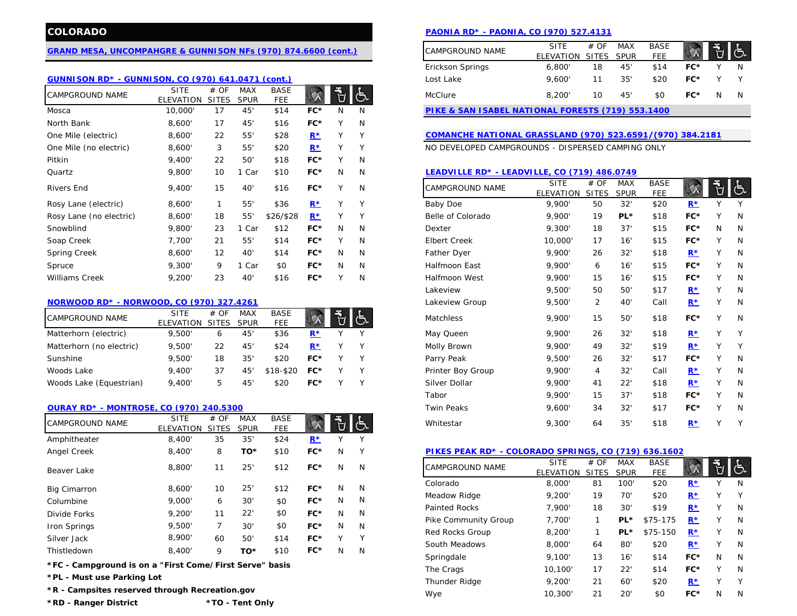#### **[GRAND MESA, UNCOMPAHGRE & GUNNISON NFs \(970\) 874.6600 \(cont.\)](http://www.fs.usda.gov/gmug)**

## **[GUNNISON RD\\* - GUNNISON, CO \(970\) 641.0471 \(cont.\)](http://www.fs.usda.gov/main/gmug/about-forest/districts)**

| <b>CAMPGROUND NAME</b>  | <b>SITE</b> | # OF            | <b>MAX</b>      | <b>BASE</b> |       |              | 心 | McClure                                                   | 8,200'           | 10           | 45'         | \$0         | FC*   | N            | N          |
|-------------------------|-------------|-----------------|-----------------|-------------|-------|--------------|---|-----------------------------------------------------------|------------------|--------------|-------------|-------------|-------|--------------|------------|
|                         | ELEVATION   | <b>SITES</b>    | <b>SPUR</b>     | <b>FEE</b>  |       |              |   |                                                           |                  |              |             |             |       |              |            |
| Mosca                   | 10,000'     | 17              | 45'             | \$14        | FC*   | N            | N | PIKE & SAN ISABEL NATIONAL FORESTS (719) 553.1400         |                  |              |             |             |       |              |            |
| North Bank              | 8,600'      | 17              | 45'             | \$16        | $FC*$ |              | N |                                                           |                  |              |             |             |       |              |            |
| One Mile (electric)     | 8,600'      | 22              | 55'             | \$28        | $R^*$ | v            | Y | COMANCHE NATIONAL GRASSLAND (970) 523.6591/(970) 384.2181 |                  |              |             |             |       |              |            |
| One Mile (no electric)  | 8,600'      | 3               | 55'             | \$20        | $R^*$ | v            | Υ | NO DEVELOPED CAMPGROUNDS - DISPERSED CAMPING ONLY         |                  |              |             |             |       |              |            |
| Pitkin                  | 9,400'      | 22              | 50'             | \$18        | $FC*$ |              | N |                                                           |                  |              |             |             |       |              |            |
| Quartz                  | 9,800'      | 10 <sup>2</sup> | Car             | \$10        | $FC*$ | N            | N | LEADVILLE RD* - LEADVILLE, CO (719) 486.0749              |                  |              |             |             |       |              |            |
| <b>Rivers End</b>       | 9,400'      | 15              | 40 <sup>'</sup> | \$16        | $FC*$ | $\checkmark$ | N | <b>CAMPGROUND NAME</b>                                    | <b>SITE</b>      | # OF         | <b>MAX</b>  | <b>BASE</b> |       |              | $\epsilon$ |
|                         |             |                 |                 |             |       |              |   |                                                           | <b>ELEVATION</b> | <b>SITES</b> | <b>SPUR</b> | <b>FEE</b>  |       |              |            |
| Rosy Lane (electric)    | 8,600'      |                 | 55'             | \$36        | $R^*$ | $\checkmark$ | Y | Baby Doe                                                  | 9.900'           | 50           | 32'         | \$20        | $R^*$ |              |            |
| Rosy Lane (no electric) | 8,600       | 18              | 55'             | \$26/\$28   | $R^*$ | $\vee$       |   | Belle of Colorado                                         | 9,900'           | 19           | PL*         | \$18        | FC*   |              |            |
| Snowblind               | 9,800'      | 23              | Car             | \$12        | $FC*$ | N            | N | Dexter                                                    | 9,300'           | 18           | 37'         | \$15        | FC*   | N            | N          |
| Soap Creek              | 7.700'      | 21              | 55'             | \$14        | $FC*$ | $\checkmark$ | N | <b>Elbert Creek</b>                                       | 10,000           | 17           | 16'         | \$15        | FC*   | $\checkmark$ |            |
| <b>Spring Creek</b>     | 8,600'      | 12              | 40'             | \$14        | $FC*$ | N            | N | Father Dyer                                               | 9,900'           | 26           | 32'         | \$18        | $R^*$ |              |            |
| Spruce                  | 9,300'      | 9               | Car             | \$0         | $FC*$ | N            | N | Halfmoon East                                             | 9,900'           | 6            | 16'         | \$15        | FC*   |              |            |
| <b>Williams Creek</b>   | 9,200'      | 23              | 40 <sup>'</sup> | \$16        | $FC*$ |              | N | <b>Halfmoon West</b>                                      | 9.900'           | 15           | 16'         | \$15        | FC*   |              |            |

### **[NORWOOD RD\\* - NORWOOD, CO \(970\) 327.4261](http://www.fs.usda.gov/detail/gmug/about-forest/districts/?cid=stelprdb5193757)**

| CAMPGROUND NAME          | <b>SITE</b> | # OF       | <b>MAX</b>   | BASE      |       |  | Matchless         | 9.900  |    | 50' | \$18 | FC*  |              |  |
|--------------------------|-------------|------------|--------------|-----------|-------|--|-------------------|--------|----|-----|------|------|--------------|--|
|                          | ELEVATION   | SITES SPUR |              | FEE       |       |  |                   |        | 15 |     |      |      |              |  |
| Matterhorn (electric)    | 9.500       | b          | 45'          | \$36      | $R^*$ |  | May Queen         | 9.900  | 26 | 32' | \$18 | R∗   |              |  |
| Matterhorn (no electric) | 9,500'      | 22         | 45'          | \$24      |       |  | Molly Brown       | 9.900  | 49 | 32' | \$19 | $R*$ |              |  |
| Sunshine                 | 9.500       | 18         | $35^{\circ}$ | \$20      | FC*   |  | Parry Peak        | 9.500  | 26 | 32' | \$17 | FC*  | $\checkmark$ |  |
| Woods Lake               | 9.400'      | 37         | 45           | \$18-\$20 | FC*   |  | Printer Boy Group | 9.900  |    | 32' | Cal  |      |              |  |
| Woods Lake (Equestrian)  | 9.400       |            | -45'         | \$20      | FC*   |  | Silver Dollar     | 9.900' |    | 22" | \$18 | D*   |              |  |

#### **[OURAY RD\\* - MONTROSE, CO \(970\) 240.5300](http://www.fs.usda.gov/main/gmug/about-forest/districts)**

| <b>CAMPGROUND NAME</b> | <b>SITE</b> | # OF         | <b>MAX</b>  | <b>BASE</b> |       |              |        | Whitestar                    | 9.300                         |
|------------------------|-------------|--------------|-------------|-------------|-------|--------------|--------|------------------------------|-------------------------------|
|                        | ELEVATION   | <b>SITES</b> | <b>SPUR</b> | FEE.        |       |              | රා     |                              |                               |
| Amphitheater           | 8,400'      | 35           | 35'         | \$24        | $R^*$ |              | $\vee$ |                              |                               |
| Angel Creek            | 8,400'      | 8            | TO*         | \$10        | $FC*$ | N            | Υ      | PIKES PEAK RD* - COLORADO SP |                               |
| Beaver Lake            | 8,800'      | 11           | 25'         | \$12        | FC*   | N            | N      | <b>CAMPGROUND NAME</b>       | <b>SITE</b><br><b>ELEVATI</b> |
| <b>Big Cimarron</b>    | 8,600'      | 10           | 25'         | \$12        | $FC*$ | N            | N      | Colorado                     | 8,000                         |
| Columbine              | 9,000'      | 6            | 30'         | \$0         | $FC*$ | N            | N      | Meadow Ridge                 | 9,200                         |
| Divide Forks           | 9.200'      | 11           | 22'         | \$0         | FC*   | N            | N      | <b>Painted Rocks</b>         | 7,900                         |
| Iron Springs           | 9,500       |              | 30'         | \$0         | $FC*$ | N            | N      | Pike Community Group         | 7,700                         |
| Silver Jack            | 8,900'      | 60           | 50'         | \$14        | $FC*$ | $\checkmark$ | Υ      | <b>Red Rocks Group</b>       | 8,200                         |
| Thistledown            | 8,400'      | 9            | TO*         | \$10        | FC*   | N            | N      | South Meadows                | 8,000                         |
|                        |             |              |             |             |       |              |        | Springdale                   | 9.100                         |

\*FC - Campground is on a "First Come/First Serve" basis

**\*PL - Must use Parking Lot**

**\*R - Campsites reserved through Recreation.gov**

# **COLORADO [PAONIA RD\\* - PAONIA, CO \(970\) 527.4131](http://www.fs.usda.gov/detail/gmug/about-forest/districts/?cid=stelprdb5182265)**

| 0) 874.6600 (cont.)      |   | <b>CAMPGROUND NAME</b>                            | <b>SITE</b> | #OF          | <b>MAX</b> | <b>BASE</b> |     |   |   |
|--------------------------|---|---------------------------------------------------|-------------|--------------|------------|-------------|-----|---|---|
|                          |   |                                                   | ELEVATION   | <b>SITES</b> | SPUR       | <b>FEE</b>  |     |   |   |
|                          |   | Erickson Springs                                  | 6.800'      | 18           | 45'        | \$14        | FC* |   |   |
| <u>nt.)</u>              |   | Lost Lake                                         | 9.600       | 11           | 35'        | \$20        | FC* |   |   |
| <b>BASE</b><br>۳.<br>FEE |   | McClure                                           | 8.200       | 10           | 45'        | \$0         | FC* | N | N |
| \$14<br>FC*<br>N         | N | PIKE & SAN ISABEL NATIONAL FORESTS (719) 553.1400 |             |              |            |             |     |   |   |

## One Mile (electric) 8,600' 22 55' \$28 **[R\\*](http://www.recreation.gov/camping/map_of_One_Mile/r/campgroundMap.do?page=map&search=site&contractCode=NRSO&parkId=70418)** Y Y **[COMANCHE NATIONAL GRASSLAND \(970\)](http://www.fs.usda.gov/detail/psicc/about-forest/offices/?cid=fsm9_032695) 523.6591/(970) 384.2181**

# **[LEADVILLE RD\\* - LEADVILLE, CO \(719\) 486.0749](http://www.fs.usda.gov/detail/psicc/about-forest/offices/?cid=fsm9_032740)**

| \$16                      | FC*   | Υ | N | CAMPGROUND NAME      | <b>SITE</b><br>ELEVATION | # OF<br><b>SITES</b> | <b>MAX</b><br><b>SPUR</b> | <b>BASE</b><br><b>FEE</b> |       | 립 | ලැ |
|---------------------------|-------|---|---|----------------------|--------------------------|----------------------|---------------------------|---------------------------|-------|---|----|
| \$36                      | $R^*$ | Υ | Υ | <b>Baby Doe</b>      | 9,900'                   | 50                   | 32'                       | \$20                      | $R^*$ | Y | Y  |
| 16/\$28                   | $R^*$ | Υ | Y | Belle of Colorado    | 9,900'                   | 19                   | PL*                       | \$18                      | FC*   | Υ | N  |
| \$12                      | FC*   | N | N | Dexter               | 9,300'                   | 18                   | 37'                       | \$15                      | FC*   | N | N  |
| \$14                      | $FC*$ | Y | N | <b>Elbert Creek</b>  | 10,000'                  | 17                   | 16'                       | \$15                      | FC*   | Υ | N  |
| \$14                      | FC*   | N | N | Father Dyer          | 9,900'                   | 26                   | 32'                       | \$18                      | $R^*$ | Υ | N  |
| \$0                       | FC*   | N | N | Halfmoon East        | 9,900'                   | 6                    | 16'                       | \$15                      | FC*   | Υ | N  |
| \$16                      | FC*   | Υ | N | <b>Halfmoon West</b> | 9,900'                   | 15                   | 16'                       | \$15                      | FC*   | Υ | N  |
|                           |       |   |   | Lakeview             | 9,500'                   | 50                   | 50'                       | \$17                      | $R^*$ | Υ | N  |
|                           |       |   |   | Lakeview Group       | 9,500'                   | $\overline{2}$       | 40'                       | Call                      | $R^*$ | Υ | N  |
| <b>BASE</b><br>FEE        |       | Ù |   | Matchless            | 9,900'                   | 15                   | 50'                       | \$18                      | FC*   | Y | N  |
| \$36                      | $R^*$ | Y | Y | May Queen            | 9,900'                   | 26                   | 32'                       | \$18                      | $R^*$ | Υ | Y  |
| \$24                      | $R^*$ | Y | Υ | Molly Brown          | 9,900'                   | 49                   | 32'                       | \$19                      | $R^*$ | Y | Y  |
| \$20                      | FC*   | Υ | Υ | Parry Peak           | 9,500'                   | 26                   | 32'                       | \$17                      | FC*   | Y | N  |
| $8 - $20$                 | FC*   | Υ | Υ | Printer Boy Group    | 9,900'                   | 4                    | 32'                       | Call                      | $R^*$ | Υ | N  |
| \$20                      | FC*   | Υ | Y | Silver Dollar        | 9,900'                   | 41                   | 22'                       | \$18                      | $R^*$ | Υ | N  |
|                           |       |   |   | Tabor                | 9,900'                   | 15                   | 37'                       | \$18                      | FC*   | Υ | N  |
|                           |       |   |   | <b>Twin Peaks</b>    | 9,600'                   | 34                   | 32'                       | \$17                      | FC*   | Υ | N  |
| <b>BASE</b><br><b>FEE</b> |       | ٣ |   | Whitestar            | 9,300'                   | 64                   | 35'                       | \$18                      | $R^*$ | Y | Y  |

# 8,400' 8 **TO\*** \$10 **FC\*** N Y **[PIKES PEAK RD\\* - COLORADO SPRINGS, CO \(719\) 636.1602](http://www.fs.usda.gov/detail/psicc/about-forest/districts/?cid=fsm9_032731)**

| <b>CAMPGROUND NAME</b> | <b>SITE</b><br><b>ELEVATION</b> | # OF<br><b>SITES</b> | <b>MAX</b><br><b>SPUR</b> | <b>BASE</b><br><b>FEE</b> |       |   |   |
|------------------------|---------------------------------|----------------------|---------------------------|---------------------------|-------|---|---|
| Colorado               | 8,000'                          | 81                   | 100'                      | \$20                      | $R^*$ | Υ | N |
| Meadow Ridge           | 9.200'                          | 19                   | 70'                       | \$20                      | $R^*$ | Υ | Υ |
| <b>Painted Rocks</b>   | 7.900'                          | 18                   | 30'                       | \$19                      | $R^*$ | Υ | N |
| Pike Community Group   | 7,700'                          | 1                    | PL*                       | \$75-175                  | $R^*$ | Υ | N |
| Red Rocks Group        | 8,200'                          | 1                    | PL*                       | \$75-150                  | $R^*$ | Υ | N |
| South Meadows          | 8,000'                          | 64                   | 80'                       | \$20                      | $R^*$ | Υ | N |
| Springdale             | 9,100'                          | 13                   | 16'                       | \$14                      | FC*   | N | N |
| The Crags              | 10.100'                         | 17                   | 22'                       | \$14                      | FC*   | Υ | N |
| <b>Thunder Ridge</b>   | 9.200'                          | 21                   | 60'                       | \$20                      | $R^*$ | Υ | Υ |
| Wye                    | 10,300'                         | 21                   | 20'                       | \$0                       | FC*   | N | N |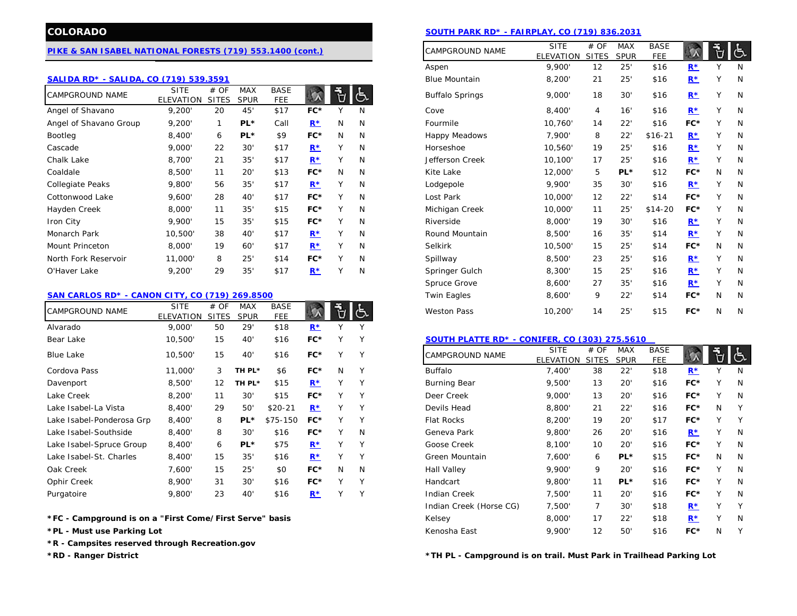### **[PIKE & SAN ISABEL NATIONAL FORESTS \(719\) 553.1400 \(cont.\)](http://www.fs.usda.gov/psicc)**

#### **[SALIDA RD\\* - SALIDA, CO \(719\) 539.3591](http://www.fs.usda.gov/detail/psicc/about-forest/offices/?cid=fsm9_032697)**

| <b>CAMPGROUND NAME</b>  | <b>SITE</b><br>ELEVATION | # OF<br><b>SITES</b> | <b>MAX</b><br><b>SPUR</b> | <b>BASE</b><br><b>FEE</b> |       |              | 占 | <b>Buffalo Springs</b> | 9,000'  | 18 | 30' | \$16     | $R^*$ |              |  |
|-------------------------|--------------------------|----------------------|---------------------------|---------------------------|-------|--------------|---|------------------------|---------|----|-----|----------|-------|--------------|--|
| Angel of Shavano        | 9,200'                   | 20                   | 45'                       | \$17                      | $FC*$ |              | N | Cove                   | 8,400'  | 4  | 16' | \$16     | $R^*$ | Υ            |  |
| Angel of Shavano Group  | 9,200'                   | $\mathbf{1}$         | PL*                       | Call                      | $R^*$ | N            | N | Fourmile               | 10,760' | 14 | 22' | \$16     | FC*   |              |  |
| Bootleg                 | 8,400'                   | 6                    | PL*                       | \$9                       | $FC*$ | N            | N | Happy Meadows          | 7,900'  | 8  | 22' | $$16-21$ | $R^*$ |              |  |
| Cascade                 | 9,000'                   | 22                   | 30'                       | \$17                      | $R^*$ |              | N | Horseshoe              | 10,560' | 19 | 25' | \$16     | $R^*$ |              |  |
| Chalk Lake              | 8,700'                   | 21                   | 35'                       | \$17                      | $R^*$ |              | N | Jefferson Creek        | 10,100' | 17 | 25' | \$16     | $R^*$ |              |  |
| Coaldale                | 8,500'                   | 11                   | 20'                       | \$13                      | $FC*$ | N            | N | Kite Lake              | 12,000' | 5  | PL* | \$12     | FC*   | N            |  |
| <b>Collegiate Peaks</b> | 9,800'                   | 56                   | 35'                       | \$17                      | $R^*$ |              | N | Lodgepole              | 9,900'  | 35 | 30' | \$16     | $R^*$ |              |  |
| Cottonwood Lake         | 9,600'                   | 28                   | 40'                       | \$17                      | $FC*$ |              | N | Lost Park              | 10,000  | 12 | 22' | \$14     | FC*   |              |  |
| Hayden Creek            | 8,000'                   | 11                   | 35'                       | \$15                      | $FC*$ |              | N | Michigan Creek         | 10,000  | 11 | 25' | $$14-20$ | FC*   |              |  |
| Iron City               | 9,900'                   | 15                   | 35'                       | \$15                      | $FC*$ |              | N | Riverside              | 8,000'  | 19 | 30' | \$16     | $R^*$ |              |  |
| Monarch Park            | 10,500'                  | 38                   | 40'                       | \$17                      | $R^*$ | $\checkmark$ | N | Round Mountain         | 8,500'  | 16 | 35' | \$14     | $R^*$ | $\checkmark$ |  |
| <b>Mount Princeton</b>  | 8,000'                   | 19                   | 60'                       | \$17                      | $R^*$ |              | N | <b>Selkirk</b>         | 10,500' | 15 | 25' | \$14     | FC*   | N            |  |
| North Fork Reservoir    | 11,000                   | 8                    | 25'                       | \$14                      | $FC*$ |              | N | Spillway               | 8,500'  | 23 | 25' | \$16     | $R^*$ |              |  |
| O'Haver Lake            | 9,200'                   | 29                   | 35'                       | \$17                      | $R^*$ |              | N | Springer Gulch         | 8,300'  | 15 | 25' | \$16     | $R^*$ |              |  |

#### **[SAN CARLOS RD\\* - CANON CITY, CO \(719\) 269.8500](http://www.fs.usda.gov/detail/psicc/about-forest/offices/?cid=fsm9_032704)**

| <b>CAMPGROUND NAME</b>    | <b>SITE</b><br>ELEVATION | # OF<br><b>SITES</b> | <b>MAX</b><br><b>SPUR</b> | <b>BASE</b><br><b>FEE</b> |       |              |        | <b>Weston Pass</b>                            | 10,200                          | 14                   | 25'                       | \$15               | FC*   | N      | N   |
|---------------------------|--------------------------|----------------------|---------------------------|---------------------------|-------|--------------|--------|-----------------------------------------------|---------------------------------|----------------------|---------------------------|--------------------|-------|--------|-----|
| Alvarado                  | 9,000'                   | 50                   | 29'                       | \$18                      | $R^*$ |              |        |                                               |                                 |                      |                           |                    |       |        |     |
| Bear Lake                 | 10,500'                  | 15                   | 40'                       | \$16                      | FC*   |              |        | SOUTH PLATTE RD* - CONIFER, CO (303) 275.5610 |                                 |                      |                           |                    |       |        |     |
| <b>Blue Lake</b>          | 10,500'                  | 15                   | 40'                       | \$16                      | $FC*$ | $\checkmark$ | v      | <b>CAMPGROUND NAME</b>                        | <b>SITE</b><br><b>ELEVATION</b> | # OF<br><b>SITES</b> | <b>MAX</b><br><b>SPUR</b> | <b>BASE</b><br>FEE |       |        | l Č |
| Cordova Pass              | 11,000'                  | 3                    | TH PL*                    | \$6                       | $FC*$ | N            | $\vee$ | <b>Buffalo</b>                                | 7,400'                          | 38                   | 22'                       | \$18               | $R*$  |        |     |
| Davenport                 | 8,500'                   | 12 <sup>2</sup>      | TH PL*                    | \$15                      | $R^*$ | N            |        | <b>Burning Bear</b>                           | 9,500'                          | 13                   | 20'                       | \$16               | FC*   |        |     |
| Lake Creek                | 8,200'                   | 11                   | 30'                       | \$15                      | $FC*$ | $\checkmark$ |        | Deer Creek                                    | 9,000'                          | 13                   | 20'                       | \$16               | FC*   |        |     |
| Lake Isabel-La Vista      | 8,400'                   | 29                   | 50                        | $$20-21$                  | $R^*$ |              |        | Devils Head                                   | 8,800'                          | 21                   | 22'                       | \$16               | FC*   | N      |     |
| Lake Isabel-Ponderosa Grp | 8,400'                   | 8                    | $PL*$                     | \$75-150                  | $FC*$ |              |        | <b>Flat Rocks</b>                             | 8,200'                          | 19                   | 20'                       | \$17               | FC*   |        |     |
| Lake Isabel-Southside     | 8,400'                   | 8                    | 30'                       | \$16                      | $FC*$ | $\vee$       | N      | Geneva Park                                   | 9,800'                          | 26                   | 20'                       | \$16               | $R^*$ | ν      |     |
| Lake Isabel-Spruce Group  | 8,400'                   | 6                    | PL*                       | \$75                      | $R^*$ |              |        | Goose Creek                                   | 8,100'                          | 10                   | 20'                       | \$16               | FC*   |        | N   |
| Lake Isabel-St. Charles   | 8,400'                   | 15                   | 35'                       | \$16                      | $R^*$ | ν            | v      | Green Mountain                                | 7,600'                          | 6                    | PL*                       | \$15               | FC*   | N      | A   |
| Oak Creek                 | 7,600'                   | 15                   | 25'                       | \$0                       | $FC*$ | N            | N      | Hall Valley                                   | 9,900'                          | 9                    | 20'                       | \$16               | FC*   | $\vee$ |     |
| Ophir Creek               | 8,900'                   | 31                   | 30'                       | \$16                      | $FC*$ |              |        | Handcart                                      | 9,800'                          | 11                   | PL*                       | \$16               | FC*   |        |     |
| Purgatoire                | 9.800'                   | 23                   | 40'                       | \$16                      | $R^*$ |              |        | <b>Indian Creek</b>                           | 7.500'                          | 11                   | 20'                       | \$16               | FC*   |        |     |

**\*R - Campsites reserved through Recreation.gov**

# **COLORADO [SOUTH PARK RD\\* - FAIRPLAY, CO \(719\) 836.2031](http://www.fs.usda.gov/detail/psicc/about-forest/offices/?cid=fsm9_032763)**

|                    | 400 (cont.) |   |   | CAMPGROUND NAME        | <b>SITE</b><br>ELEVATION | # OF<br><b>SITES</b> | <b>MAX</b><br><b>SPUR</b> | <b>BASE</b><br><b>FEE</b> |                                  |   | ය         |
|--------------------|-------------|---|---|------------------------|--------------------------|----------------------|---------------------------|---------------------------|----------------------------------|---|-----------|
|                    |             |   |   | Aspen                  | 9,900'                   | 12                   | 25'                       | \$16                      | $R^*$                            | Υ | N         |
|                    |             |   |   | <b>Blue Mountain</b>   | 8,200'                   | 21                   | 25'                       | \$16                      | $\underline{\mathbf{R}^{\star}}$ | Υ | N         |
| <b>BASE</b><br>FEE |             | Ù |   | <b>Buffalo Springs</b> | 9,000'                   | 18                   | 30'                       | \$16                      | $R^*$                            | Υ | N         |
| \$17               | FC*         | Υ | N | Cove                   | 8,400'                   | $\overline{4}$       | 16'                       | \$16                      | $R^*$                            | Υ | N         |
| Call               | $R^*$       | N | N | Fourmile               | 10,760'                  | 14                   | 22'                       | \$16                      | FC*                              | Y | ${\sf N}$ |
| \$9                | FC*         | N | N | <b>Happy Meadows</b>   | 7,900'                   | 8                    | 22'                       | $$16-21$                  | $R^*$                            | Υ | ${\sf N}$ |
| \$17               | $R^*$       | Υ | N | Horseshoe              | 10,560'                  | 19                   | 25'                       | \$16                      | $R^*$                            | Y | N         |
| \$17               | $R^*$       | Υ | N | Jefferson Creek        | 10,100'                  | 17                   | 25'                       | \$16                      | $R^*$                            | Υ | ${\sf N}$ |
| \$13               | FC*         | N | N | Kite Lake              | 12,000'                  | 5                    | PL*                       | \$12                      | FC*                              | N | N         |
| \$17               | $R^*$       | Υ | N | Lodgepole              | 9,900'                   | 35                   | 30'                       | \$16                      | $R^*$                            | Υ | N         |
| \$17               | FC*         | Y | N | Lost Park              | 10,000'                  | 12                   | 22'                       | \$14                      | FC*                              | Y | N         |
| \$15               | FC*         | Y | N | Michigan Creek         | 10,000'                  | 11                   | 25'                       | $$14-20$                  | FC*                              | Y | N         |
| \$15               | FC*         | Υ | N | Riverside              | 8,000'                   | 19                   | 30'                       | \$16                      | $R^*$                            | Υ | N         |
| \$17               | $R^*$       | Υ | N | Round Mountain         | 8,500'                   | 16                   | 35'                       | \$14                      | $R^*$                            | Y | N         |
| \$17               | $R^*$       | Υ | N | Selkirk                | 10,500'                  | 15                   | 25'                       | \$14                      | FC*                              | N | N         |
| \$14               | FC*         | Υ | N | Spillway               | 8,500'                   | 23                   | 25'                       | \$16                      | $R^*$                            | Y | N         |
| \$17               | $R^*$       | Y | N | Springer Gulch         | 8,300'                   | 15                   | 25'                       | \$16                      | $R^*$                            | Υ | N         |
|                    |             |   |   | Spruce Grove           | 8,600'                   | 27                   | 35'                       | \$16                      | $R^*$                            | Y | ${\sf N}$ |
|                    |             |   |   | <b>Twin Eagles</b>     | 8,600'                   | 9                    | 22'                       | \$14                      | FC*                              | N | N         |
| <b>BASE</b><br>FEE |             | ٣ |   | <b>Weston Pass</b>     | 10,200'                  | 14                   | 25'                       | \$15                      | FC*                              | N | N         |

#### Bear Lake 10,500' 15 40' \$16 **FC\*** Y Y **[SOUTH PLATTE RD\\* -](http://www.fs.usda.gov/detail/psicc/about-forest/districts/?cid=fsm9_032799) CONIFER, CO (303) 275.5610**

| Blue Lake                                               |         | 15 | 40     | \$16     |       |   | Y |                         | <b>SITE</b>      | # OF         | <b>MAX</b>  | <b>BASE</b> |       |              |     |
|---------------------------------------------------------|---------|----|--------|----------|-------|---|---|-------------------------|------------------|--------------|-------------|-------------|-------|--------------|-----|
|                                                         | 10,500' |    |        |          | FC*   |   |   | <b>CAMPGROUND NAME</b>  | <b>ELEVATION</b> | <b>SITES</b> | <b>SPUR</b> | <b>FEE</b>  |       |              | ුදු |
| Cordova Pass                                            | 11,000' | 3  | TH PL* | \$6      | $FC*$ | N | Y | Buffalo                 | 7,400'           | 38           | 22'         | \$18        | $R^*$ |              | N   |
| Davenport                                               | 8,500'  | 12 | TH PL* | \$15     | $R^*$ |   | Υ | <b>Burning Bear</b>     | 9,500'           | 13           | 20'         | \$16        | $FC*$ |              | N   |
| Lake Creek                                              | 8,200'  | 11 | 30'    | \$15     | $FC*$ |   | Υ | Deer Creek              | 9,000'           | 13           | 20'         | \$16        | $FC*$ |              | N   |
| Lake Isabel-La Vista                                    | 8,400'  | 29 | 50'    | $$20-21$ | $R^*$ |   | Υ | Devils Head             | 8,800            | 21           | 22'         | \$16        | $FC*$ | N            |     |
| Lake Isabel-Ponderosa Grp                               | 8,400'  | 8  | PL*    | \$75-150 | $FC*$ |   | v | <b>Flat Rocks</b>       | 8,200'           | 19           | 20'         | \$17        | $FC*$ | $\checkmark$ |     |
| Lake Isabel-Southside                                   | 8.400'  | 8  | 30'    | \$16     | $FC*$ | ٧ | N | Geneva Park             | 9.800            | 26           | 20'         | \$16        | $R^*$ |              | N   |
| Lake Isabel-Spruce Group                                | 8,400'  | 6  | $PL*$  | \$75     | $R^*$ |   | Y | Goose Creek             | 8,100'           | 10           | 20'         | \$16        | $FC*$ |              | N   |
| Lake Isabel-St. Charles                                 | 8,400'  | 15 | 35'    | \$16     | $R^*$ |   | Y | Green Mountain          | 7.600'           | 6            | PL*         | \$15        | $FC*$ | N            | N   |
| Oak Creek                                               | 7,600'  | 15 | 25'    | \$0      | $FC*$ | N | N | <b>Hall Valley</b>      | 9.900'           | 9            | 20'         | \$16        | $FC*$ | $\checkmark$ | N   |
| Ophir Creek                                             | 8,900'  | 31 | 30'    | \$16     | $FC*$ |   | Υ | Handcart                | 9,800'           | 11           | PL*         | \$16        | $FC*$ |              | N   |
| Purgatoire                                              | 9,800'  | 23 | 40     | \$16     | $R^*$ |   | Υ | <b>Indian Creek</b>     | 7.500'           | 11           | 20'         | \$16        | $FC*$ | $\checkmark$ | N   |
|                                                         |         |    |        |          |       |   |   | Indian Creek (Horse CG) | 7,500'           |              | 30'         | \$18        | $R^*$ |              | Υ   |
| *FC - Campground is on a "First Come/First Serve" basis |         |    |        |          |       |   |   | Kelsey                  | 8,000'           | 17           | 22'         | \$18        | $R^*$ |              | N   |
| *PL - Must use Parking Lot                              |         |    |        |          |       |   |   | Kenosha East            | 9,900'           | 12           | 50          | \$16        | $FC*$ | N            |     |

**\*RD - Ranger District \*TH PL - Campground is on trail. Must Park in Trailhead Parking Lot**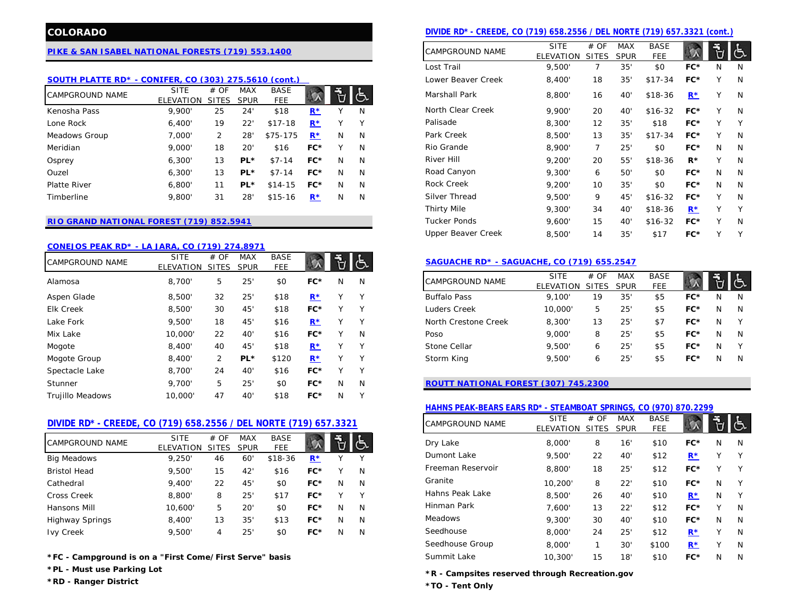# **[PIKE & SAN ISABEL NATIONAL FORESTS \(719\) 553.1400](http://www.fs.usda.gov/psicc)**

## **SOUTH PLATTE RD\* - CONIFER, [CO \(303\) 275.5610 \(cont.\)](http://www.fs.usda.gov/detail/psicc/about-forest/districts/?cid=fsm9_032799)**

| <b>CAMPGROUND NAME</b> | <b>SITE</b> | # OF         | MAX          | <b>BASE</b>  |       |   |              | Marshall Park     | 8,800  | 16 | 40' | $$18-36$ | $R^*$ |   |  |
|------------------------|-------------|--------------|--------------|--------------|-------|---|--------------|-------------------|--------|----|-----|----------|-------|---|--|
|                        | ELEVATION   | <b>SITES</b> | <b>SPUR</b>  | FEE          |       |   |              |                   |        |    |     |          |       |   |  |
| Kenosha Pass           | 9.900       | 25           | 24           | \$18         | $R^*$ |   | N            | North Clear Creek | 9.900  | 20 | 40  | $$16-32$ | FC*   |   |  |
| Lone Rock              | 6,400'      | 19           | $22^{\circ}$ | 7-18<br>\$17 | $R^*$ |   | $\checkmark$ | Palisade          | 8,300' | 12 | 35  | \$18     | FC*   |   |  |
| Meadows Group          | 7,000'      |              | 28           | $$75-175$    | $R^*$ | N | N            | Park Creek        | 8,500  | 13 | 35  | $$17-34$ | FC*   | v |  |
| Meridian               | 9,000       | 18           | 20           | \$16         | $FC*$ |   | N            | Rio Grande        | 8.900  |    | 25  | \$0      | FC*   | N |  |
| Osprey                 | 6.300       | 13           | $PL*$        | $$7-14$      | $FC*$ | N | N            | River Hill        | 9.200  | 20 | 55  | $$18-36$ | $R*$  |   |  |
| Ouzel                  | 6.300       | 13           | $PL*$        | $$7-14$      | $FC*$ | N | N            | Road Canyon       | 9,300  | 6  | 50' | \$0      | FC*   | N |  |
| Platte River           | 6,800'      | 11           | $PL*$        | $$14-15$     | $FC*$ | N | N            | Rock Creek        | 9,200  | 10 | 35  | \$0      | FC*   | N |  |
| Timberline             | 9,800       | 31           | 28           | $$15-16$     | $R^*$ | N | N            | Silver Thread     | 9.500  | Q  | 45  | $$16-32$ | FC*   |   |  |

# **[RIO GRAND NATIONAL FOREST \(719\) 852.5941](http://www.fs.usda.gov/riogrande)**

#### **[CONEJOS PEAK RD\\* - LA JARA, CO \(719\) 274.8971](http://www.fs.usda.gov/detail/riogrande/about-forest/districts/?cid=stelprdb5213037)**

| <b>CAMPGROUND NAME</b>  | <b>SITE</b><br><b>ELEVATION</b> | # OF<br><b>SITES</b> | <b>MAX</b><br><b>SPUR</b> | <b>BASE</b><br><b>FEE</b> |       |              | しんじょう しょうしょう | SAGUACHE RD* - SAGUACHE, CO (719) 655.2547 |                                 |                      |                           |                           |     |    |             |
|-------------------------|---------------------------------|----------------------|---------------------------|---------------------------|-------|--------------|--------------|--------------------------------------------|---------------------------------|----------------------|---------------------------|---------------------------|-----|----|-------------|
| Alamosa                 | 8.700'                          | 5                    | 25                        | \$0                       | FC*   | N            | N            | <b>CAMPGROUND NAME</b>                     | <b>SITE</b><br><b>ELEVATION</b> | # OF<br><b>SITES</b> | <b>MAX</b><br><b>SPUR</b> | <b>BASE</b><br><b>FEE</b> |     | εŦ | ∣⊱          |
| Aspen Glade             | 8.500'                          | 32                   | 25'                       | \$18                      | $R^*$ |              | ٧            | <b>Buffalo Pass</b>                        | 9.100'                          | 19                   | 35'                       | \$5                       | FC* | N  |             |
| <b>Elk Creek</b>        | 8,500'                          | 30                   | 45'                       | \$18                      | FC*   | $\checkmark$ | $\vee$       | Luders Creek                               | 10,000                          | 5                    | 25'                       | \$5                       | FC* | N  | N           |
| Lake Fork               | 9.500'                          | 18                   | 45'                       | \$16                      | $R^*$ |              | $\vee$       | North Crestone Creek                       | 8,300'                          | 13                   | 25'                       | \$7                       | FC* | N  |             |
| Mix Lake                | 10,000'                         | 22                   | 40 <sup>'</sup>           | \$16                      | $FC*$ |              | N            | Poso                                       | 9,000'                          | 8                    | 25'                       | \$5                       | FC* | N  | N           |
| Mogote                  | 8,400'                          | 40                   | 45'                       | \$18                      | $R^*$ |              | $\checkmark$ | Stone Cellar                               | 9,500'                          | 6                    | 25'                       | \$5                       | FC* | N  |             |
| Mogote Group            | 8,400'                          | 2                    | PL*                       | \$120                     | $R^*$ |              | ٧            | Storm King                                 | 9,500                           | 6                    | 25'                       | \$5                       | FC* | N. | $\mathbb N$ |
| Spectacle Lake          | 8.700'                          | 24                   | 40'                       | \$16                      | $FC*$ | v            | v            |                                            |                                 |                      |                           |                           |     |    |             |
| Stunner                 | 9.700'                          | 5                    | 25'                       | \$0                       | $FC*$ | N            | N            | ROUTT NATIONAL FOREST (307) 745.2300       |                                 |                      |                           |                           |     |    |             |
| <b>Trujillo Meadows</b> | 10,000'                         | 47                   | 40                        | \$18                      | $FC*$ | N            | $\checkmark$ |                                            |                                 |                      |                           |                           |     |    |             |

## **[DIVIDE RD\\* - CREEDE, CO \(719\) 658.2556 / DEL NORTE \(719\) 657.3321](http://www.fs.usda.gov/wps/portal/fsinternet/!ut/p/c5/04_SB8K8xLLM9MSSzPy8xBz9CP0os3gjAwhwtDDw9_AI8zPwhQoY6IeDdGCqCPOBqwDLG-AAjgb6fh75uan6BdnZaY6OiooA1tkqlQ!!/dl3/d3/L2dJQSEvUUt3QS9ZQnZ3LzZfMjAwMDAwMDBBODBPSEhWTjJNMDAwMDAwMDA!/?navtype=BROWSEBYSUBJECT&cid)**

|                        |                          |                      |                    |                           |       |    |   |                   | <b>LLLVAIIVIV</b> | <u>. טווט</u> | - O IN | 1 L L |       |   |          |
|------------------------|--------------------------|----------------------|--------------------|---------------------------|-------|----|---|-------------------|-------------------|---------------|--------|-------|-------|---|----------|
| <b>CAMPGROUND NAME</b> | <b>SITE</b><br>ELEVATION | # OF<br><b>SITES</b> | MAX<br><b>SPUR</b> | <b>BASE</b><br><b>FEE</b> |       |    |   | Dry Lake          | 8,000             | 8             | 16'    | \$10  | FC*   | N |          |
| <b>Big Meadows</b>     | 9,250'                   | 46                   | 60                 | $$18-36$                  | $R^*$ |    |   | Dumont Lake       | 9,500             | 22            | 40'    | \$12  | $R*$  |   |          |
| <b>Bristol Head</b>    | 9,500'                   | 15                   | 42                 | \$16                      | FC*   |    | N | Freeman Reservoir | 8,800             | 18            | 25'    | \$12  | FC*   |   |          |
| Cathedral              | 9.400                    | 22                   | 45'                | \$0                       | FC*   | N  | N | Granite           | 10,200'           | 8             | 22'    | \$10  | FC*   | N | <b>V</b> |
| Cross Creek            | 8,800'                   | 8                    | 25'                | \$17                      | FC*   |    |   | Hahns Peak Lake   | 8,500'            | 26            | 40'    | \$10  | $R^*$ | N |          |
| Hansons Mill           | 10.600                   |                      | 20                 | \$0                       | FC*   | N  | N | Hinman Park       | 7.600'            | 13            | 22'    | \$12  | FC*   | v |          |
| <b>Highway Springs</b> | 8,400'                   | 13                   | 35'                | \$13                      | FC*   | N  | N | Meadows           | 9,300'            | 30            | 40'    | \$10  | FC*   | N |          |
| <b>Ivy Creek</b>       | 9,500                    | 4                    | 25'                | \$0                       | FC*   | N. | N | Seedhouse         | 8,000             | 24            | 25'    | \$12  | $R*$  |   |          |
|                        |                          |                      |                    |                           |       |    |   |                   |                   |               |        |       |       |   |          |

**\*FC - Campground is on a "First Come/First Serve" basis**

**\*PL - Must use Parking Lot**

**\*RD - Ranger District**

# **COLORADO DIVIDE RD<sup>\*</sup> - CREEDE, CO (719) 658.2556 / DEL NORTE (719) 657.3321 (cont.)**

| AL FORESTS (719) 553.1400 |                      |                           |                               |             |   |   | <b>CAMPGROUND NAME</b>    | <b>SITE</b>      | # OF           | <b>MAX</b>  | <b>BASE</b> |       |              | き |
|---------------------------|----------------------|---------------------------|-------------------------------|-------------|---|---|---------------------------|------------------|----------------|-------------|-------------|-------|--------------|---|
|                           |                      |                           |                               |             |   |   |                           | <b>ELEVATION</b> | <b>SITES</b>   | <b>SPUR</b> | <b>FEE</b>  |       |              |   |
|                           |                      |                           |                               |             |   |   | Lost Trail                | 9.500'           | 7              | 35'         | \$0         | FC*   | N            | N |
|                           |                      |                           | ER, CO (303) 275.5610 (cont.) |             |   |   | Lower Beaver Creek        | 8,400'           | 18             | 35'         | $$17-34$    | FC*   | Υ            | N |
| <b>SITE</b><br>EVATION    | # OF<br><b>SITES</b> | <b>MAX</b><br><b>SPUR</b> | <b>BASE</b><br><b>FEE</b>     |             | Ù | ් | Marshall Park             | 8,800'           | 16             | 40'         | \$18-36     | $R^*$ | v            | N |
| 9,900'                    | 25                   | 24'                       | \$18                          | $R^*$       |   | N | North Clear Creek         | 9.900'           | 20             | 40'         | $$16-32$    | $FC*$ | V            | N |
| 6,400'                    | 19                   | 22'                       | $$17-18$                      | $R^*$       | Υ | ٧ | Palisade                  | 8,300'           | 12             | 35'         | \$18        | FC*   |              | Y |
| 7,000'                    | $\overline{2}$       | 28'                       | \$75-175                      | $R^*$       | N | N | Park Creek                | 8,500'           | 13             | 35'         | $$17-34$    | $FC*$ |              | N |
| 9,000'                    | 18                   | 20'                       | \$16                          | $FC*$       | v | N | Rio Grande                | 8,900'           | $\overline{7}$ | 25'         | \$0         | FC*   | N            | N |
| 6,300'                    | 13                   | $PL*$                     | $$7-14$                       | $FC*$       | N | N | River Hill                | 9,200'           | 20             | 55'         | $$18-36$    | $R^*$ |              | N |
| 6,300'                    | 13                   | $PL*$                     | $$7-14$                       | $FC*$       | N | N | Road Canyon               | 9,300'           | 6              | 50'         | \$0         | $FC*$ | N            | N |
| 6,800'                    | 11                   | $PL*$                     | $$14-15$                      | $FC*$       | N | N | Rock Creek                | 9,200'           | 10             | 35'         | \$0         | FC*   | N            | N |
| 9,800'                    | 31                   | 28'                       | $$15-16$                      | $R^{\star}$ | N | N | Silver Thread             | 9,500'           | 9              | 45'         | $$16-32$    | FC*   | $\checkmark$ | N |
|                           |                      |                           |                               |             |   |   | <b>Thirty Mile</b>        | 9,300'           | 34             | 40'         | $$18-36$    | $R^*$ |              | Υ |
| EST (719) 852.5941        |                      |                           |                               |             |   |   | <b>Tucker Ponds</b>       | 9,600'           | 15             | 40'         | $$16-32$    | FC*   | Υ            | N |
|                           |                      |                           |                               |             |   |   | <b>Upper Beaver Creek</b> | 8.500'           | 14             | 35'         | \$17        | FC*   | $\checkmark$ | Y |
|                           |                      |                           |                               |             |   |   |                           |                  |                |             |             |       |              |   |

### FEE **[SAGUACHE RD\\* - SAGUACHE, CO \(719\) 655.2547](http://www.fs.usda.gov/detail/riogrande/about-forest/districts/?cid=stelprdb5364707)**

| CAMPGROUND NAME      | <b>SITE</b><br><b>ELEVATION</b> | # OF<br><b>SITES</b> | <b>MAX</b><br><b>SPUR</b> | <b>BASE</b><br><b>FEE</b> |     |   |   |
|----------------------|---------------------------------|----------------------|---------------------------|---------------------------|-----|---|---|
| <b>Buffalo Pass</b>  | 9.100'                          | 19                   | 35'                       | \$5                       | FC* | N | N |
| Luders Creek         | 10,000'                         | 5                    | 25'                       | \$5                       | FC* | N | N |
| North Crestone Creek | 8,300'                          | 13                   | 25'                       | \$7                       | FC* | N | v |
| Poso                 | 9.000                           | 8                    | 25'                       | \$5                       | FC* | N | N |
| Stone Cellar         | 9.500'                          | 6                    | 25'                       | \$5                       | FC* | N | v |
| Storm King           | 9.500                           | 6                    | 25'                       | \$5                       | FC* | N | N |

# **[ROUTT NATIONAL FOREST \(307\) 745.2300](http://www.fs.usda.gov/mbr)**

# **[HAHNS PEAK-BEARS EARS RD\\* - STEAMBOAT SPRINGS, CO \(970\) 870.2299](http://www.fs.usda.gov/detail/mbr/about-forest/districts/?cid=fswdev3_008659)**

|                     | TE (719) 657.3321 |   |   | CAMPGROUND NAME   | <b>SITE</b><br>ELEVATION | # OF<br><b>SITES</b> | <b>MAX</b><br><b>SPUR</b> | <b>BASE</b><br><b>FEE</b> |             |   | ত |
|---------------------|-------------------|---|---|-------------------|--------------------------|----------------------|---------------------------|---------------------------|-------------|---|---|
| <b>BASE</b><br>FEE. |                   | Ū |   | Dry Lake          | 8.000'                   | 8                    | 16'                       | \$10                      | $FC*$       | N | N |
| 18-36               | $R^*$             |   | Υ | Dumont Lake       | 9.500'                   | 22                   | 40'                       | \$12                      | $R^*$       | Υ | Υ |
| \$16                | $FC*$             | Υ | N | Freeman Reservoir | 8.800                    | 18                   | 25'                       | \$12                      | FC*         | Υ | Υ |
| \$0                 | $FC*$             | N | N | Granite           | 10.200'                  | 8                    | 22'                       | \$10                      | $FC*$       | N | Υ |
| \$17                | $FC*$             | Υ | Υ | Hahns Peak Lake   | 8.500                    | 26                   | 40'                       | \$10                      | $R^{\star}$ | N | Υ |
| \$0                 | $FC*$             | N | N | Hinman Park       | 7.600'                   | 13                   | 22'                       | \$12                      | $FC*$       | Υ | N |
| \$13                | $FC*$             | N | N | Meadows           | 9.300'                   | 30                   | 40'                       | \$10                      | $FC*$       | N | N |
| \$0                 | $FC*$             | N | N | Seedhouse         | 8,000'                   | 24                   | 25'                       | \$12                      | $R^{\star}$ | Υ | N |
|                     |                   |   |   | Seedhouse Group   | 8,000'                   |                      | 30'                       | \$100                     | $R^*$       | Υ | N |
| asis                |                   |   |   | Summit Lake       | 10,300'                  | 15                   | 18'                       | \$10                      | $FC*$       | N | N |

**\*R - Campsites reserved through Recreation.gov**

**\*TO - Tent Only**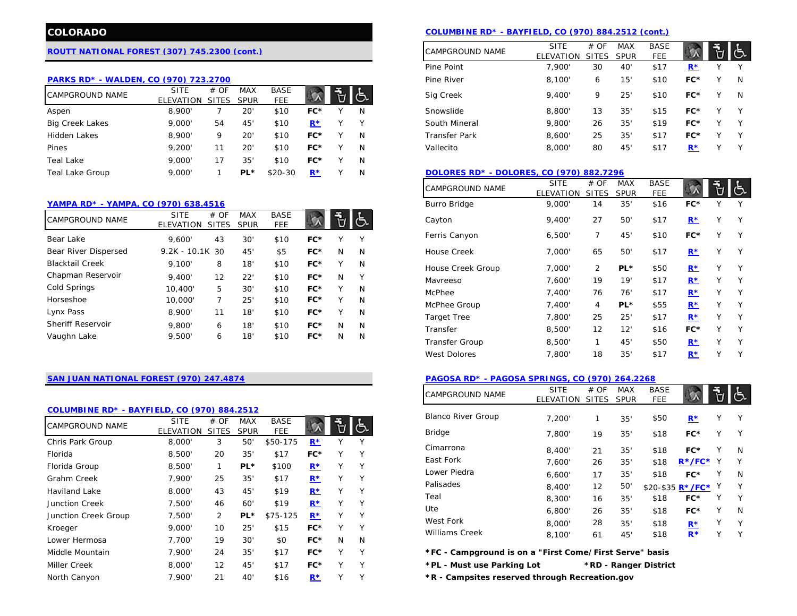# **[ROUTT NATIONAL FOREST \(307\) 745.2300 \(cont.\)](http://www.fs.usda.gov/mbr)**

### **[PARKS RD\\* - WALDEN, CO \(970\) 723.2700](http://www.fs.usda.gov/detail/mbr/about-forest/districts/?cid=fswdev3_008663)**

| <b>CAMPGROUND NAME</b> | SITE      | # OF  | MAX         | <b>BASE</b> |       |   | Sig Creek                                | 9.400 | Q  | 25 | \$10 | FC*   |              | $\sqrt{ }$ |
|------------------------|-----------|-------|-------------|-------------|-------|---|------------------------------------------|-------|----|----|------|-------|--------------|------------|
|                        | ELEVATION | SITES | <b>SPUR</b> | <b>FEE</b>  |       |   |                                          |       |    |    |      |       |              |            |
| Aspen                  | 8,900'    |       | 20'         | \$10        | FC*   | N | Snowslide                                | 8,800 | 13 | 35 | \$15 | FC*   |              |            |
| Big Creek Lakes        | 9.000     | 54    | 45'         | \$10        | $R^*$ |   | South Mineral                            | 9,800 | 26 | 35 | \$19 | FC*   |              | ↘          |
| Hidden Lakes           | 8,900'    | Q     | 20'         | \$10        | $FC*$ | N | <b>Transfer Park</b>                     | 8,600 | 25 | 35 | \$17 | FC*   |              | ↘          |
| Pines                  | 9.200'    |       | 20'         | \$10        | FC*   | N | Vallecito                                | 8,000 | 80 | 45 | \$17 | $R^*$ | $\checkmark$ |            |
| Teal Lake              | 9,000'    |       | 35          | \$10        | FC*   | N |                                          |       |    |    |      |       |              |            |
| <b>Teal Lake Group</b> | 9.000     |       | PL*         | $$20-30$    | $R^*$ | N | DOLORES RD* - DOLORES, CO (970) 882.7296 |       |    |    |      |       |              |            |

#### **[YAMPA RD\\* - YAMPA, CO \(970\) 638.4516](http://www.fs.usda.gov/detail/mbr/about-forest/districts/?cid=fswdev3_008666)** Burro Bridge 9,000' 14 35' \$16 **FC\*** Y Y

| <b>CAMPGROUND NAME</b>   | <b>SITE</b><br><b>ELEVATION</b> | # OF<br><b>SITES</b> | <b>MAX</b><br><b>SPUR</b> | <b>BASE</b><br>FEE. |       |   |   |
|--------------------------|---------------------------------|----------------------|---------------------------|---------------------|-------|---|---|
| Bear Lake                | 9.600                           | 43                   | 30'                       | \$10                | $FC*$ | Υ | Υ |
| Bear River Dispersed     | $9.2K - 10.1K$ 30               |                      | 45'                       | \$5                 | $FC*$ | N | N |
| <b>Blacktail Creek</b>   | 9.100'                          | 8                    | 18'                       | \$10                | $FC*$ | Υ | N |
| Chapman Reservoir        | 9.400                           | 12                   | 22'                       | \$10                | $FC*$ | N | Υ |
| Cold Springs             | 10,400'                         | 5                    | 30'                       | \$10                | $FC*$ | Υ | N |
| Horseshoe                | 10,000'                         | 7                    | 25'                       | \$10                | $FC*$ | Υ | N |
| Lynx Pass                | 8,900'                          | 11                   | 18'                       | \$10                | $FC*$ | Υ | N |
| <b>Sheriff Reservoir</b> | 9,800'                          | 6                    | 18'                       | \$10                | $FC*$ | N | N |
| Vaughn Lake              | 9.500                           | 6                    | 18'                       | \$10                | $FC*$ | N | N |
|                          |                                 |                      |                           |                     |       |   |   |

#### **[COLUMBINE RD\\* - BAYFIELD, CO \(970\) 884.2512](http://www.fs.usda.gov/detail/sanjuan/about-forest/districts/?cid=stelprdb5154743)**

| <b>CAMPGROUND NAME</b> | <b>SITE</b>      | # OF         | MAX         | <b>BASE</b> |       |              | ්රු | Blanco River Group                                      | ',200' |    | 35' | \$50                  | $R^*$              |   |  |
|------------------------|------------------|--------------|-------------|-------------|-------|--------------|-----|---------------------------------------------------------|--------|----|-----|-----------------------|--------------------|---|--|
|                        | <b>ELEVATION</b> | <b>SITES</b> | <b>SPUR</b> | <b>FEE</b>  |       |              |     | <b>Bridge</b>                                           | 7,800' | 19 | 35' | \$18                  | FC*                |   |  |
| Chris Park Group       | 8,000'           | 3            | 50'         | \$50-175    | $R^*$ |              |     |                                                         |        |    |     |                       |                    |   |  |
| Florida                | 8,500'           | 20           | 35'         | \$17        | FC*   |              |     | Cimarrona                                               | 8,400' | 21 | 35' | \$18                  | FC*                |   |  |
| Florida Group          | 8,500'           |              | $PL*$       | \$100       | $R^*$ |              | v   | East Fork                                               | 7,600' | 26 | 35' | \$18                  | $R^*/FC^*$         | Y |  |
| Grahm Creek            | 7.900'           | 25           | 35'         |             |       |              |     | Lower Piedra                                            | 6,600' | 17 | 35' | \$18                  | $FC*$              |   |  |
|                        |                  |              |             | \$17        | $R^*$ |              |     | Palisades                                               | 8,400' | 12 | 50  |                       | $$20-$35 R* / FC*$ |   |  |
| <b>Haviland Lake</b>   | 8,000'           | 43           | 45'         | \$19        | $R^*$ |              |     | Teal                                                    | 8,300' | 16 | 35' | \$18                  | FC*                |   |  |
| <b>Junction Creek</b>  | 7,500'           | 46           | 60          | \$19        | $R^*$ |              |     | Ute                                                     |        |    |     |                       |                    |   |  |
| Junction Creek Group   | 7,500'           | 2            | $PL*$       | $$75-125$   | $R^*$ |              |     |                                                         | 6,800' | 26 | 35' | \$18                  | $FC*$              |   |  |
| Kroeger                | 9,000'           | 10           | 25'         | \$15        | FC*   | $\checkmark$ |     | West Fork                                               | 8,000' | 28 | 35' | \$18                  | $R^*$              |   |  |
|                        |                  |              |             |             |       |              |     | <b>Williams Creek</b>                                   | 8,100' | 61 | 45' | \$18                  | $R*$               |   |  |
| Lower Hermosa          | 7.700'           | 19           | 30'         | \$0         | $FC*$ | N            | N   |                                                         |        |    |     |                       |                    |   |  |
| Middle Mountain        | 7.900'           | 24           | 35'         | \$17        | $FC*$ |              |     | *FC - Campground is on a "First Come/First Serve" basis |        |    |     |                       |                    |   |  |
| Miller Creek           | 8,000'           | 12           | 45'         | \$17        | $FC*$ |              |     | *PL - Must use Parking Lot                              |        |    |     | *RD - Ranger District |                    |   |  |
| North Canvon           | 7,900'           | 21           | 40          | \$16        | $R^*$ |              |     | *R - Campsites reserved through Recreation.gov          |        |    |     |                       |                    |   |  |

# **COLORADO [COLUMBINE RD\\* - BAYFIELD, CO \(970\) 884.2512 \(cont.\)](http://www.fs.usda.gov/detail/sanjuan/about-forest/districts/?cid=stelprdb5154743)**

|                           |       |   |              | CAMPGROUND NAME      | <b>SITE</b>      | # OF         | <b>MAX</b>  | <b>BASE</b> |                   |              |              |
|---------------------------|-------|---|--------------|----------------------|------------------|--------------|-------------|-------------|-------------------|--------------|--------------|
|                           |       |   |              |                      | <b>ELEVATION</b> | <b>SITES</b> | <b>SPUR</b> | <b>FEE</b>  |                   |              |              |
|                           |       |   |              | Pine Point           | 7.900'           | 30           | 40'         | \$17        | ${\bf R}^{\star}$ |              | Y            |
|                           |       |   |              | Pine River           | 8,100'           | 6            | 15'         | \$10        | FC*               | v            | N            |
| <b>BASE</b><br><b>FEE</b> |       | Ù |              | Sig Creek            | 9.400            | 9            | 25"         | \$10        | FC*               | v            | N            |
| \$10                      | FC*   |   | N            | Snowslide            | 8.800            | 13           | 35'         | \$15        | FC*               | v            | v            |
| \$10                      | $R^*$ |   | $\checkmark$ | South Mineral        | 9,800'           | 26           | 35'         | \$19        | FC*               |              | Υ            |
| \$10                      | FC*   | v | N            | <b>Transfer Park</b> | 8,600'           | 25           | 35'         | \$17        | FC*               | $\checkmark$ | Υ            |
| \$10                      | FC*   |   | N            | Vallecito            | 8,000'           | 80           | 45'         | \$17        | ${\bf R}^{\star}$ | $\checkmark$ | $\checkmark$ |
|                           |       |   |              |                      |                  |              |             |             |                   |              |              |

### **[DOLORES RD\\* - DOLORES, CO \(970\) 882.7296](http://www.fs.usda.gov/detail/sanjuan/about-forest/districts/?cid=stelprdb5154745)**

|                         |                      |                           |                           |       |   |                | <b>CAMPGROUND NAME</b> | <b>SITE</b><br><b>ELEVATION</b> | # OF<br><b>SITES</b> | <b>MAX</b><br><b>SPUR</b> | <b>BASE</b><br><b>FEE</b> |       |              | さ |
|-------------------------|----------------------|---------------------------|---------------------------|-------|---|----------------|------------------------|---------------------------------|----------------------|---------------------------|---------------------------|-------|--------------|---|
| 970) 638.4516           |                      |                           |                           |       |   |                | <b>Burro Bridge</b>    | 9.000                           | 14                   | 35'                       | \$16                      | $FC*$ |              | Υ |
| <b>SITE</b><br>LEVATION | # OF<br><b>SITES</b> | <b>MAX</b><br><b>SPUR</b> | <b>BASE</b><br><b>FEE</b> |       | Ъ | $\mathfrak{F}$ | Cayton                 | 9,400'                          | 27                   | 50'                       | \$17                      | $R^*$ |              | Υ |
| 9.600'                  | 43                   | 30'                       | \$10                      | FC*   | V | Y              | Ferris Canyon          | 6,500'                          | 7                    | 45'                       | \$10                      | FC*   | v            | Y |
| 9.2K - 10.1K            | 30                   | 45'                       | \$5                       | $FC*$ | N | N              | House Creek            | 7,000'                          | 65                   | 50'                       | \$17                      | $R^*$ |              | Υ |
| 9,100'                  | 8                    | 18'                       | \$10                      | FC*   | Υ | N              | House Creek Group      | 7,000'                          | 2                    | $PL*$                     | \$50                      | $R^*$ | $\checkmark$ | Υ |
| 9,400'                  | 12                   | 22'                       | \$10                      | $FC*$ | N | Υ              | Mavreeso               | 7,600'                          | 19                   | 19'                       | \$17                      | $R^*$ | $\checkmark$ | Υ |
| 10,400'                 | 5                    | 30'                       | \$10                      | $FC*$ | Υ | N              | McPhee                 | 7.400'                          | 76                   | 76'                       | \$17                      | $R^*$ | $\checkmark$ | Υ |
| 10,000'                 |                      | 25'                       | \$10                      | $FC*$ | Υ | N              | McPhee Group           | 7,400'                          | 4                    | $PL*$                     | \$55                      | $R^*$ | $\checkmark$ | Υ |
| 8,900'                  | 11                   | 18'                       | \$10                      | $FC*$ | Υ | N              | <b>Target Tree</b>     | 7,800'                          | 25                   | 25'                       | \$17                      | $R^*$ | $\checkmark$ | Υ |
| 9,800'                  | 6                    | 18'                       | \$10                      | FC*   | N | N              | Transfer               | 8,500'                          | 12                   | 12'                       | \$16                      | FC*   | $\checkmark$ | V |
| 9,500'                  | 6                    | 18'                       | \$10                      | FC*   | N | N              | <b>Transfer Group</b>  | 8,500'                          | $\mathbf{1}$         | 45'                       | \$50                      | $R^*$ | $\checkmark$ | V |
|                         |                      |                           |                           |       |   |                | <b>West Dolores</b>    | 7,800                           | 18                   | 35'                       | \$17                      | $R^*$ |              | Υ |
|                         |                      |                           |                           |       |   |                |                        |                                 |                      |                           |                           |       |              |   |

## **[SAN JUAN NATIONAL FOREST \(970\) 247.4874](http://www.fs.usda.gov/sanjuan) [PAGOSA RD\\* - PAGOSA SPRINGS, CO \(970\) 264.2268](http://www.fs.usda.gov/detail/sanjuan/about-forest/districts/?cid=stelprdb5154746)**

|                   |              |        |              | <b>CAMPGROUND NAME</b>    | <b>SITE</b><br><b>ELEVATION</b> | # OF<br>SITES SPUR | <b>MAX</b> | <b>BASE</b><br><b>FEE</b> |                                  |   | ලැ |
|-------------------|--------------|--------|--------------|---------------------------|---------------------------------|--------------------|------------|---------------------------|----------------------------------|---|----|
| <b>BASE</b>       |              |        |              | <b>Blanco River Group</b> | 7,200'                          |                    | 35'        | \$50                      | $\underline{\mathbf{R}}^{\star}$ | Υ | Υ  |
| <b>FEE</b>        |              | Ū      | ъ,           | <b>Bridge</b>             | 7,800'                          | 19                 | 35'        | \$18                      | $FC*$                            | Υ | Υ  |
| $0 - 175$<br>\$17 | $R^*$<br>FC* | Υ      | Υ<br>Υ       | Cimarrona                 | 8.400'                          | 21                 | 35'        | \$18                      | $FC*$                            | Υ | N  |
| 5100              |              | Υ      | Υ            | East Fork                 | 7.600'                          | 26                 | 35'        | \$18                      | $R^*/FC^*$                       | Y | Υ  |
|                   | $R^*$        |        | Υ            | Lower Piedra              | 6,600'                          | 17                 | 35'        | \$18                      | FC*                              | Υ | N  |
| \$17              | $R^*$        | Υ      | Υ            | Palisades                 | 8.400'                          | 12                 | 50'        |                           | \$20-\$35 $R*/FC*$               | Υ | Υ  |
| \$19              | $R^*$        | Υ      |              | Teal                      | 8,300'                          | 16                 | 35'        | \$18                      | $FC*$                            | Υ | Υ  |
| \$19              | $R^*$        | Υ      | Υ            | Ute                       | 6,800'                          | 26                 | 35'        | \$18                      | FC*                              | Υ | N  |
| $5 - 125$<br>\$15 | $R^*$<br>FC* | Υ<br>Υ | Υ<br>Υ       | West Fork                 | 8,000'                          | 28                 | 35'        | \$18                      | $\underline{\mathsf{R}^{\star}}$ | Υ | Υ  |
| ¢Λ                | <b>FO</b> *  | N.I    | $\mathbf{N}$ | <b>Williams Creek</b>     | 8.100                           | 61                 | 45'        | \$18                      | $R*$                             | Υ | Υ  |

 $*R$  - Campsites reserved through Recreation.gov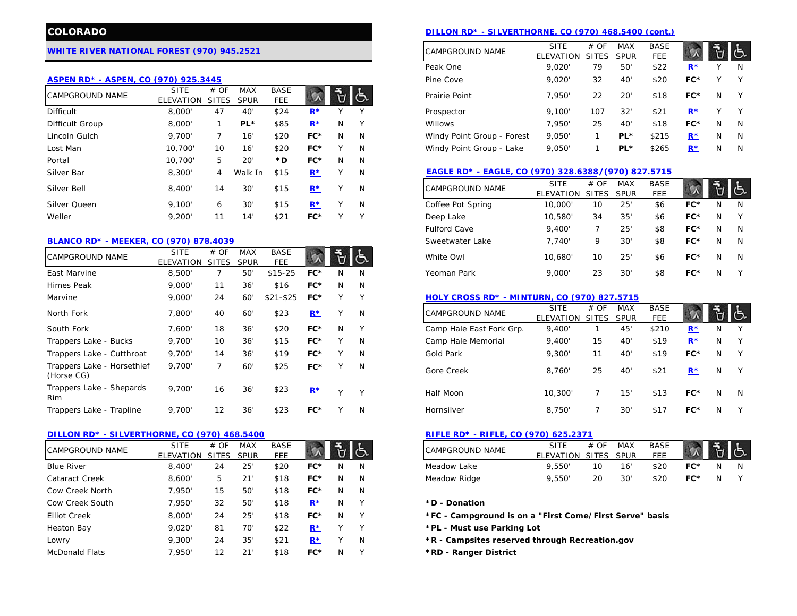## **[WHITE RIVER NATIONAL FOREST \(970\) 945.2521](http://www.fs.usda.gov/whiteriver)**

### **[ASPEN RD\\* - ASPEN, CO \(970\) 925.3445](http://www.fs.usda.gov/detail/whiteriver/about-forest/districts/?cid=fsbdev3_001248)**

| <b>CAMPGROUND NAME</b> | <b>SITE</b><br><b>ELEVATION</b> | # OF<br><b>SITES</b> | <b>MAX</b><br><b>SPUR</b> | <b>BASE</b><br>FEE |       |    |              | 7,950<br>Prairie Point<br>22                                                      | 20'                       | \$18                | FC*                  | N            |    |
|------------------------|---------------------------------|----------------------|---------------------------|--------------------|-------|----|--------------|-----------------------------------------------------------------------------------|---------------------------|---------------------|----------------------|--------------|----|
| <b>Difficult</b>       | 8,000'                          | 47                   | 40                        | \$24               | $R^*$ |    | $\checkmark$ | 9,100'<br>107<br>Prospector                                                       | 32'                       | \$21                | $\mathbf{R}^{\star}$ | $\checkmark$ |    |
| Difficult Group        | 8,000'                          |                      | $PL*$                     | \$85               | $R^*$ | N. | Y.           | 7.950'<br>Willows<br>25                                                           | 40'                       | \$18                | FC*                  | N            | A  |
| Lincoln Gulch          | 9,700'                          |                      | 16'                       | \$20               | FC*   | N  | N            | 9,050'<br>Windy Point Group - Forest                                              | PL*                       | \$215               | $R^*$                | N            |    |
| Lost Man               | 10.700'                         | 10                   | 16'                       | \$20               | FC*   |    | N            | Windy Point Group - Lake<br>9,050'                                                | PL*                       | \$265               | $R^*$                | N            | J. |
| Portal                 | 10.700'                         | 5                    | 20                        | *D.                | FC*   | N. | <sup>N</sup> |                                                                                   |                           |                     |                      |              |    |
| Silver Bar             | 8,300'                          | 4                    | Walk In                   | \$15               | $R^*$ |    | N            | EAGLE RD* - EAGLE, CO (970) 328.6388/(970) 827.5715                               |                           |                     |                      |              |    |
| Silver Bell            | 8,400'                          | 14                   | 30                        | \$15               | $R^*$ |    | N            | <b>SITE</b><br># OF<br><b>CAMPGROUND NAME</b><br><b>ELEVATION</b><br><b>SITES</b> | <b>MAX</b><br><b>SPUR</b> | <b>BASE</b><br>FEE. |                      |              | 'L |
| Silver Queen           | 9.100'                          | 6                    | 30                        | \$15               | $R^*$ |    | N            | Coffee Pot Spring<br>10,000'<br>10                                                | 25'                       | \$6                 | FC*                  | N            |    |
| Weller                 | 9.200'                          |                      | 14                        | \$21               | FC*   |    | $\checkmark$ | 10,580<br>Deep Lake<br>34                                                         | 35'                       | \$6                 | FC*                  | N            |    |
|                        |                                 |                      |                           |                    |       |    |              |                                                                                   |                           |                     |                      |              |    |

## **[BLANCO RD\\* - MEEKER, CO \(970\) 878.4039](http://www.fs.usda.gov/detail/whiteriver/about-forest/districts/?cid=fsbdev3_001244)**

| <b>CAMPGROUND NAME</b>                   | <b>SITE</b><br><b>ELEVATION</b> | # OF<br><b>SITES</b> | <b>MAX</b><br><b>SPUR</b> | <b>BASE</b><br><b>FEE</b> |       |              | き            | White Owl                                          | 10,680                          | 10                   | 25'                | \$6                 | FC*         | N | J.       |
|------------------------------------------|---------------------------------|----------------------|---------------------------|---------------------------|-------|--------------|--------------|----------------------------------------------------|---------------------------------|----------------------|--------------------|---------------------|-------------|---|----------|
| East Marvine                             | 8,500'                          |                      | 50'                       | $$15-25$                  | $FC*$ | N            | N            | Yeoman Park                                        | 9,000'                          | 23                   | 30'                | \$8                 | FC*         | N | Y        |
| Himes Peak                               | 9,000'                          | 11                   | 36'                       | \$16                      | $FC*$ | N            | N            |                                                    |                                 |                      |                    |                     |             |   |          |
| Marvine                                  | 9,000'                          | 24                   | 60'                       | $$21 - $25$               | $FC*$ | $\checkmark$ | Υ            | <b>HOLY CROSS RD* - MINTURN, CO (970) 827.5715</b> |                                 |                      |                    |                     |             |   |          |
| North Fork                               | 7,800'                          | 40                   | 60'                       | \$23                      | $R^*$ | $\vee$       | N            | CAMPGROUND NAME                                    | <b>SITE</b><br><b>ELEVATION</b> | # OF<br><b>SITES</b> | MAX<br><b>SPUR</b> | <b>BASE</b><br>FEE. |             |   | <b>d</b> |
| South Fork                               | 7,600'                          | 18                   | 36'                       | \$20                      | $FC*$ | N            | Y            | Camp Hale East Fork Grp.                           | 9,400'                          |                      | 45'                | \$210               | $R^{\star}$ | N |          |
| Trappers Lake - Bucks                    | 9,700'                          | 10                   | 36'                       | \$15                      | $FC*$ | $\checkmark$ | N            | Camp Hale Memorial                                 | 9,400'                          | 15                   | 40'                | \$19                | $R^*$       | N |          |
| Trappers Lake - Cutthroat                | 9.700'                          | 14                   | 36'                       | \$19                      | $FC*$ |              | N            | Gold Park                                          | 9,300'                          | 11                   | 40'                | \$19                | FC*         | N | Y        |
| Trappers Lake - Horsethief<br>(Horse CG) | 9.700'                          | $\overline{ }$       | 60'                       | \$25                      | $FC*$ |              | N            | Gore Creek                                         | 8,760                           | 25                   | 40'                | \$21                | $R^*$       | N | Y        |
| Trappers Lake - Shepards<br>Rim          | 9.700'                          | 16                   | 36'                       | \$23                      | $R^*$ | $\checkmark$ | $\checkmark$ | Half Moon                                          | 10,300'                         |                      | 15'                | \$13                | FC*         | N | -N       |
| Trappers Lake - Trapline                 | 9.700'                          | 12                   | 36'                       | \$23                      | $FC*$ |              | N            | Hornsilver                                         | 8,750                           |                      | 30'                | \$17                | FC*         | N |          |

#### **[DILLON RD\\* - SILVERTHORNE, CO \(970\) 468.5400](http://www.fs.usda.gov/detail/whiteriver/about-forest/districts/?cid=fsbdev3_001245) [RIFLE RD\\* - RIFLE, CO \(970\) 625.2371](http://www.fs.usda.gov/detail/whiteriver/about-forest/districts/?cid=fsbdev3_001250)**

| CAMPGROUND NAME       | <b>SITE</b><br>ELEVATION | # OF<br><b>SITES</b> | <b>MAX</b><br><b>SPUR</b> | <b>BASE</b><br><b>FEE</b> |       |    |              | <b>CAMPGROUND NAME</b>                                  | <b>SITE</b><br>ELEVATION | # OF<br>SITES | <b>MAX</b><br>SPUR | <b>BASE</b><br>FEE. |     |   | ්  |
|-----------------------|--------------------------|----------------------|---------------------------|---------------------------|-------|----|--------------|---------------------------------------------------------|--------------------------|---------------|--------------------|---------------------|-----|---|----|
| <b>Blue River</b>     | 8,400'                   | 24                   | 25'                       | \$20                      | $FC*$ | N  | N            | Meadow Lake                                             | 9.550                    | 10            | 16'                | \$20                | FC* | N |    |
| <b>Cataract Creek</b> | 8,600                    | 5                    | 21                        | \$18                      | $FC*$ | N  | <sup>N</sup> | Meadow Ridge                                            | 9,550                    | 20            | 30'                | \$20                | FC* | N | Y. |
| Cow Creek North       | 7.950'                   | 15                   | 50'                       | \$18                      | $FC*$ | N  | <sup>N</sup> |                                                         |                          |               |                    |                     |     |   |    |
| Cow Creek South       | 7.950'                   | 32                   | 50'                       | \$18                      | $R^*$ | N  |              | *D - Donation                                           |                          |               |                    |                     |     |   |    |
| <b>Elliot Creek</b>   | 8,000'                   | 24                   | 25'                       | \$18                      | $FC*$ | N  |              | *FC - Campground is on a "First Come/First Serve" basis |                          |               |                    |                     |     |   |    |
| Heaton Bay            | 9.020'                   | 81                   | 70'                       | \$22                      | $R^*$ |    |              | *PL - Must use Parking Lot                              |                          |               |                    |                     |     |   |    |
| Lowry                 | 9,300'                   | 24                   | 35'                       | \$21                      | $R^*$ |    | N            | *R - Campsites reserved through Recreation.gov          |                          |               |                    |                     |     |   |    |
| <b>McDonald Flats</b> | 7.950'                   | 12                   | 21                        | \$18                      | $FC*$ | N. |              | *RD - Ranger District                                   |                          |               |                    |                     |     |   |    |

# **COLORADO [DILLON RD\\* - SILVERTHORNE, CO \(970\) 468.5400 \(cont.\)](http://www.fs.usda.gov/detail/whiteriver/about-forest/districts/?cid=fsbdev3_001245)**

|                    |       |   |              | <b>CAMPGROUND NAME</b>     | <b>SITE</b><br><b>ELEVATION</b> | # OF<br><b>SITES</b> | <b>MAX</b><br><b>SPUR</b> | <b>BASE</b><br><b>FEE</b> |             |   |   |
|--------------------|-------|---|--------------|----------------------------|---------------------------------|----------------------|---------------------------|---------------------------|-------------|---|---|
|                    |       |   |              | Peak One                   | 9.020                           | 79                   | 50'                       | \$22                      | $R^{\star}$ |   | N |
|                    |       |   |              | Pine Cove                  | 9,020'                          | 32                   | 40'                       | \$20                      | FC*         |   | v |
| <b>BASE</b><br>FEE |       |   |              | Prairie Point              | 7.950'                          | 22                   | 20'                       | \$18                      | FC*         | N | v |
| \$24               | $R^*$ |   | $\checkmark$ | Prospector                 | 9.100'                          | 107                  | 32'                       | \$21                      | $R^*$       |   | v |
| \$85               | $R^*$ | N | $\checkmark$ | <b>Willows</b>             | 7,950'                          | 25                   | 40'                       | \$18                      | FC*         | N | N |
| \$20               | FC*   | N | N            | Windy Point Group - Forest | 9,050'                          |                      | PL*                       | \$215                     | $R^*$       | N | N |
| \$20               | FC*   |   | N            | Windy Point Group - Lake   | 9,050                           |                      | PL*                       | \$265                     | $R^*$       | N | N |
|                    |       |   |              |                            |                                 |                      |                           |                           |             |   |   |

# [EAGLE RD\\* - EAGLE, CO \(970\) 328.6388](http://www.fs.usda.gov/detail/whiteriver/about-forest/districts/?cid=fsbdev3_001247)**/(970) 827.5715**

| \$15                      | $R^*$ |   | N            | <b>CAMPGROUND NAME</b> | <b>SITE</b><br><b>ELEVATION</b> | # OF<br><b>SITES</b> | <b>MAX</b><br><b>SPUR</b> | <b>BASE</b><br><b>FEE</b> |       |   | に |
|---------------------------|-------|---|--------------|------------------------|---------------------------------|----------------------|---------------------------|---------------------------|-------|---|---|
| \$15                      | $R^*$ |   | N            | Coffee Pot Spring      | 10,000'                         | 10                   | 25"                       | \$6                       | $FC*$ | N | N |
| \$21                      | FC*   |   | $\checkmark$ | Deep Lake              | 10.580'                         | 34                   | 35'                       | \$6                       | $FC*$ | N | Υ |
|                           |       |   |              | <b>Fulford Cave</b>    | 9.400                           |                      | 25"                       | \$8                       | $FC*$ | N | N |
|                           |       |   |              | Sweetwater Lake        | 7.740'                          | 9                    | 30'                       | \$8                       | $FC*$ | N | N |
| <b>BASE</b><br><b>FEE</b> |       | Ŭ |              | White Owl              | 10.680'                         | 10                   | 25'                       | \$6                       | $FC*$ | N | N |
| 15-25                     | FC*   | N | N            | Yeoman Park            | 9,000'                          | 23                   | 30'                       | \$8                       | $FC*$ | N | v |
|                           |       |   |              |                        |                                 |                      |                           |                           |       |   |   |

## **[HOLY CROSS RD\\* - MINTURN, CO \(970\) 827.5715](http://www.fs.usda.gov/detail/whiteriver/about-forest/districts/?cid=fsbdev3_001247)**

| North Fork                               | 7.800' | 40                | 60  | \$23 | $R^*$ |              | N            | <b>CAMPGROUND NAME</b>   | <b>SITE</b><br>ELEVATION | # OF<br>SITES | MAX<br><b>SPUR</b> | <b>BASE</b><br>FEE |       |   | $\mathsf{I}$ |
|------------------------------------------|--------|-------------------|-----|------|-------|--------------|--------------|--------------------------|--------------------------|---------------|--------------------|--------------------|-------|---|--------------|
| South Fork                               | 7.600' | 18                | 36' | \$20 | $FC*$ | N            |              | Camp Hale East Fork Grp. | 9.400                    |               | 45'                | \$210              | $R^*$ | N | <b>V</b>     |
| Trappers Lake - Bucks                    | 9,700' | 10                | 36' | \$15 | FC*   |              | N            | Camp Hale Memorial       | 9.400                    | 15            | 40'                | \$19               | $R^*$ | N | <b>V</b>     |
| Trappers Lake - Cutthroat                | 9,700' | 14                | 36' | \$19 | $FC*$ |              | N            | Gold Park                | 9,300'                   | 11            | 40'                | \$19               | FC*   | N | $\vee$       |
| Trappers Lake - Horsethief<br>(Horse CG) | 9.700' |                   | 60' | \$25 | $FC*$ |              | N            | Gore Creek               | 8.760                    | 25            | 40'                | \$21               | $R^*$ | N |              |
| Trappers Lake - Shepards<br>Rim          | 9,700' | 16                | 36' | \$23 | $R*$  | $\mathbf{v}$ | $\checkmark$ | Half Moon                | 10,300                   |               | 15'                | \$13               | $FC*$ | N | - N          |
| Trappers Lake - Trapline                 | 9.700  | $12 \overline{ }$ | 36  | \$23 | FC*   |              | N            | Hornsilver               | 8.750                    |               | 30'                | \$17               | FC*   | N |              |
|                                          |        |                   |     |      |       |              |              |                          |                          |               |                    |                    |       |   |              |

| <b>BASE</b><br>FEE |     | ⊶ | ු | <b>CAMPGROUND NAME</b> | <b>SITE</b><br><b>ELEVATION</b> | # OF<br>SITES | MAX<br><b>SPUR</b> | <b>BASE</b><br>FFF |     | 百占 |   |
|--------------------|-----|---|---|------------------------|---------------------------------|---------------|--------------------|--------------------|-----|----|---|
| \$20               | FC* | N | N | Meadow Lake            | 9.550                           |               | 16'                | \$20               | FC* |    | N |
| \$18               | FC* | N | N | Meadow Ridge           | 9.550                           |               | 30'                | \$20               | FC* | N  |   |

#### $*D$  - Donation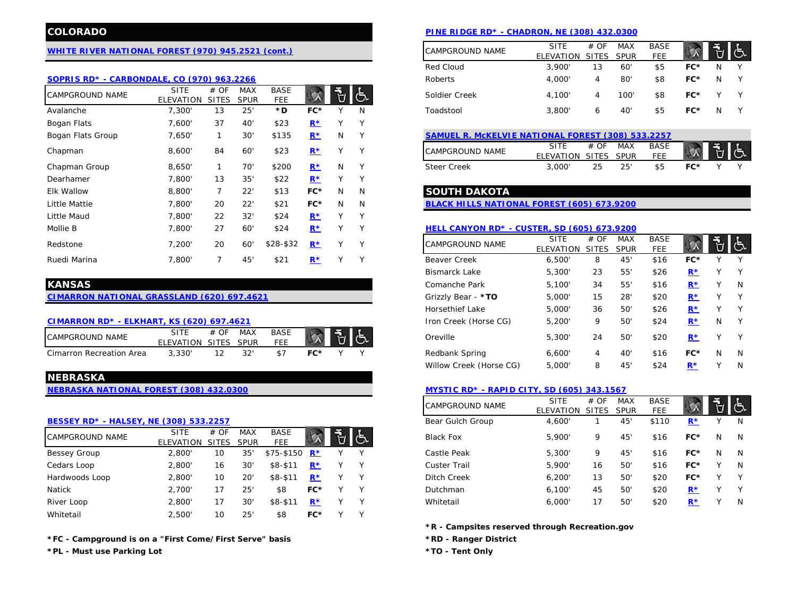# **[WHITE RIVER NATIONAL FOREST \(970\) 945.2521 \(cont.\)](http://www.fs.usda.gov/whiteriver)**

#### **[SOPRIS RD\\* - CARBONDALE, CO \(970\) 963.2266](http://www.fs.usda.gov/detail/whiteriver/about-forest/districts/?cid=fsbdev3_001248)**

| <b>CAMPGROUND NAME</b> | <b>SITE</b><br><b>ELEVATION</b> | # OF<br><b>SITES</b> | <b>MAX</b><br><b>SPUR</b> | <b>BASE</b><br>FEE. |       |              | 占      | FC*<br>4,100'<br>\$8<br>Soldier Creek<br>100'<br>4                                                                             |          |
|------------------------|---------------------------------|----------------------|---------------------------|---------------------|-------|--------------|--------|--------------------------------------------------------------------------------------------------------------------------------|----------|
| Avalanche              | 7,300'                          | 13                   | 25'                       | *D                  | FC*   |              | N      | \$5<br>FC*<br>40'<br>3,800'<br>N<br>Toadstool<br>6                                                                             |          |
| Bogan Flats            | 7,600'                          | 37                   | 40'                       | \$23                | $R^*$ |              | Y      |                                                                                                                                |          |
| Bogan Flats Group      | 7,650'                          |                      | 30'                       | \$135               | $R^*$ | N            | Y      | SAMUEL R. MCKELVIE NATIONAL FOREST (308) 533.2257                                                                              |          |
| Chapman                | 8,600'                          | 84                   | 60'                       | \$23                | $R^*$ | v            | Υ      | <b>BASE</b><br><b>SITE</b><br>MAX<br># OF<br><b>CAMPGROUND NAME</b><br>FEE.<br>ELEVATION<br><b>SITES</b><br><b>SPUR</b>        | l Č      |
| Chapman Group          | 8.650'                          |                      | 70'                       | \$200               | $R^*$ | N            | Y      | \$5<br>FC*<br><b>Steer Creek</b><br>25'<br>3,000'<br>25                                                                        |          |
| Dearhamer              | 7,800'                          | 13                   | 35'                       | \$22                | $R^*$ |              | ٧      |                                                                                                                                |          |
| <b>Elk Wallow</b>      | 8,800'                          | $\overline{7}$       | 22'                       | \$13                | $FC*$ | N            | N      | <b>SOUTH DAKOTA</b>                                                                                                            |          |
| Little Mattie          | 7,800'                          | 20                   | 22'                       | \$21                | $FC*$ | N            | N      | BLACK HILLS NATIONAL FOREST (605) 673.9200                                                                                     |          |
| Little Maud            | 7.800'                          | 22                   | 32'                       | \$24                | $R^*$ | $\checkmark$ | v      |                                                                                                                                |          |
| Mollie B               | 7,800'                          | 27                   | 60'                       | \$24                | $R^*$ | Y            | Υ      | <b>HELL CANYON RD* - CUSTER, SD (605) 673.9200</b>                                                                             |          |
| Redstone               | 7,200'                          | 20                   | 60'                       | $$28-$32$           | $R^*$ | v            | Y      | <b>BASE</b><br><b>SITE</b><br># OF<br>MAX<br><b>CAMPGROUND NAME</b><br>FEE.<br><b>ELEVATION</b><br><b>SPUR</b><br><b>SITES</b> | <b>d</b> |
| Ruedi Marina           | 7.800'                          |                      | 45'                       | \$21                | $R^*$ | $\checkmark$ | $\vee$ | 45'<br>FC*<br><b>Beaver Creek</b><br>\$16<br>6,500'<br>8                                                                       |          |

# **[CIMARRON NATIONAL GRASSLAND \(620\) 697.4621](http://www.fs.usda.gov/detail/psicc/about-forest/offices/?cid=fsm9_032733)** Grizzly Bear - **\*TO** 5,000' 15 28' \$20 **[R\\*](http://www.recreation.gov/camping/grizzly-creek-primitive/r/campgroundDetails.do?contractCode=NRSO&parkId=73854)** Y Y

#### **[CIMARRON RD\\* - ELKHART, KS \(620\) 697.4621](http://www.fs.usda.gov/detail/psicc/about-forest/offices/?cid=fsm9_032733)**

| CAMPGROUND NAME          |                      | <b>MAX</b> | <b>BASE</b> |  |  |
|--------------------------|----------------------|------------|-------------|--|--|
|                          | FLEVATION SITES SPUR |            | FFF         |  |  |
| Cimarron Recreation Area | 3.330                |            |             |  |  |

# **NEBRASKA**

#### **[BESSEY RD\\* - HALSEY, NE \(308\) 533.2257](http://www.fs.usda.gov/detail/nebraska/about-forest/districts/?cid=stelprdb5343058)**

| <b>CAMPGROUND NAME</b> | <b>SITE</b> | # OF         | MAX         | <b>BASE</b>               |             |  | <b>Black Fox</b>    | 5,900  | Q  | 45  | \$16 | FC*   | N | -N |
|------------------------|-------------|--------------|-------------|---------------------------|-------------|--|---------------------|--------|----|-----|------|-------|---|----|
|                        | ELEVATION   | <b>SITES</b> | <b>SPUR</b> | <b>FEE</b>                |             |  |                     |        |    |     |      |       |   |    |
| Bessey Group           | 2,800'      | 10           | 35'         | $$75-$150$ R <sup>*</sup> |             |  | Castle Peak         | 5,300  |    | 45  | \$16 | FC*   | N | -N |
| Cedars Loop            | 2.800'      | 16           | 30'         | $$8-$11$                  | $R^*$       |  | <b>Custer Trail</b> | 5,900  | 16 | 50' | \$16 | FC*   | v |    |
| Hardwoods Loop         | 2,800       | 10           | 20'         | $$8 - $11$                | $R^{\star}$ |  | Ditch Creek         | 6,200' | 13 | 50' | \$20 | FC*   | v |    |
| Natick                 | 2.700       |              | 25'         | \$8                       | $FC*$       |  | Dutchman            | 6.100' | 45 | 50' | \$20 | $R^*$ |   |    |
| River Loop             | 2,800'      |              | 30'         | $$8 - $11$                | R*          |  | Whitetail           | 6,000  |    | 50' | \$20 | $R^*$ |   |    |
| Whitetail              | 2,500'      | 10           | 25'         | \$8                       | $FC*$       |  |                     |        |    |     |      |       |   |    |

**\*FC - Campground is on a "First Come/First Serve" basis \*RD - Ranger District**

**\*PL - Must use Parking Lot \*TO - Tent Only**

# **COLORADO [PINE RIDGE RD\\* - CHADRON, NE \(308\) 432.](http://www.fs.usda.gov/detail/nebraska/about-forest/districts/?cid=stelprdb5097992)0300**

| <u>ont.)</u>              | <b>CAMPGROUND NAME</b> | <b>SITE</b><br><b>ELEVATION</b> | # OF<br>SITES SPUR | MAX  | <b>BASE</b><br>FEE |     |   |   |
|---------------------------|------------------------|---------------------------------|--------------------|------|--------------------|-----|---|---|
|                           | Red Cloud              | 3.900'                          | 13                 | 60'  | \$5                | FC* | N | v |
|                           | Roberts                | 4.000                           | 4                  | 80'  | \$8                | FC* | N |   |
| <b>BASE</b><br>٦Ď,<br>FEE | Soldier Creek          | 4.100                           | 4                  | 100' | \$8                | FC* |   |   |
| *D<br>FC*<br>N            | Toadstool              | 3.800'                          | 6                  | 40'  | \$5                | FC* | N |   |

| SAMUEL R. MCKELVIE NATIONAL FOREST (308) 533.2257 |                      |      |     |             |     |  |  |  |  |  |  |  |
|---------------------------------------------------|----------------------|------|-----|-------------|-----|--|--|--|--|--|--|--|
| <b>CAMPGROUND NAME</b>                            | SITE                 | # OF | MAX | <b>BASE</b> |     |  |  |  |  |  |  |  |
|                                                   | FLEVATION SITES SPUR |      |     | FFF         |     |  |  |  |  |  |  |  |
| Steer Creek                                       | 3,000'               | 25   | 25' | \$5         | FC* |  |  |  |  |  |  |  |

### Elk Wallow 8,800' 7 22' \$13 **FC\*** N N **SOUTH DAKOTA**

#### **[HELL CANYON RD\\* - CUSTER, SD \(605\)](http://www.fs.usda.gov/detail/blackhills/about-forest/districts/?cid=STELPRDB5110165) 673.9200**

| Redstone                                          | 7,200'                          | 20                   | 60'                       | $$28-$32$                 | $R^*$ | Y          | CAMPGROUND NAME         | <b>SITE</b><br>ELEVATION | # OF<br><b>SITES</b> | <b>MAX</b><br><b>SPUR</b> | <b>BASE</b><br><b>FEE</b> |       |              | ු            |
|---------------------------------------------------|---------------------------------|----------------------|---------------------------|---------------------------|-------|------------|-------------------------|--------------------------|----------------------|---------------------------|---------------------------|-------|--------------|--------------|
| Ruedi Marina                                      | 7,800'                          |                      | 45                        | \$21                      | $R^*$ | Y          | <b>Beaver Creek</b>     | 6,500                    | 8                    | 45'                       | \$16                      | $FC*$ |              |              |
|                                                   |                                 |                      |                           |                           |       |            | <b>Bismarck Lake</b>    | 5,300                    | 23                   | 55'                       | \$26                      | $R^*$ |              | Y            |
| <b>KANSAS</b>                                     |                                 |                      |                           |                           |       |            | Comanche Park           | 5,100'                   | 34                   | 55'                       | \$16                      | $R^*$ |              | N            |
| <b>CIMARRON NATIONAL GRASSLAND (620) 697.4621</b> |                                 |                      |                           |                           |       |            | Grizzly Bear - *TO      | 5,000'                   | 15                   | 28'                       | \$20                      | $R^*$ |              | Y            |
|                                                   |                                 |                      |                           |                           |       |            | Horsethief Lake         | 5,000'                   | 36                   | 50                        | \$26                      | $R^*$ |              | Υ            |
| CIMARRON RD* - ELKHART, KS (620) 697.4621         |                                 |                      |                           |                           |       |            | Iron Creek (Horse CG)   | 5,200'                   | 9                    | 50                        | \$24                      | $R^*$ | N            | $\mathsf{Y}$ |
| CAMPGROUND NAME                                   | <b>SITE</b><br><b>ELEVATION</b> | # OF<br><b>SITES</b> | <b>MAX</b><br><b>SPUR</b> | <b>BASE</b><br><b>FEE</b> |       | <b>IG.</b> | Oreville                | 5,300'                   | 24                   | 50                        | \$20                      | $R^*$ | $\mathbf{v}$ | Y            |
| Cimarron Recreation Area                          | 3,330'                          | 12                   | 32'                       | \$7                       | $FC*$ | $\vee$     | Redbank Spring          | 6,600'                   | 4                    | 40'                       | \$16                      | $FC*$ | N            | N.           |
|                                                   |                                 |                      |                           |                           |       |            | Willow Creek (Horse CG) | 5,000'                   | 8                    | 45'                       | \$24                      | $R^*$ |              | N            |

# **[NEBRASKA NATIONAL FOREST \(308\) 432.0300](http://www.fs.usda.gov/nebraska) [MYSTIC RD\\* - RAPID CITY, SD \(605\) 343.1567](http://www.fs.usda.gov/detail/blackhills/about-forest/districts/?cid=STELPRDB5110167)**

|                           |       |   |   | <b>CAMPGROUND NAME</b> | <b>SITE</b>      | # OF         | <b>MAX</b>  | <b>BASE</b> |                   |   | ලැ |
|---------------------------|-------|---|---|------------------------|------------------|--------------|-------------|-------------|-------------------|---|----|
|                           |       |   |   |                        | <b>ELEVATION</b> | <b>SITES</b> | <b>SPUR</b> | <b>FEE</b>  |                   |   |    |
|                           |       |   |   | Bear Gulch Group       | 4,600'           |              | 45'         | \$110       | $R^*$             |   | N  |
| <b>BASE</b><br><b>FEE</b> |       | е |   | <b>Black Fox</b>       | 5,900            | 9            | 45'         | \$16        | $FC*$             | N | N  |
| 5-\$150                   | $R^*$ |   | ∨ | Castle Peak            | 5,300'           | 9            | 45'         | \$16        | $FC*$             | N | N  |
| $8 - $11$                 | $R^*$ |   | v | <b>Custer Trail</b>    | 5,900'           | 16           | 50'         | \$16        | $FC*$             |   | N  |
| $8 - $11$                 | $R^*$ |   | v | Ditch Creek            | 6,200'           | 13           | 50'         | \$20        | $FC*$             |   | γ  |
| \$8                       | $FC*$ |   | ∨ | Dutchman               | 6,100'           | 45           | 50'         | \$20        | ${\bf R}^{\star}$ | v | γ  |
| $8 - $11$                 | $R^*$ |   | v | Whitetail              | 6.000'           | 17           | 50'         | \$20        | $R^*$             |   | N  |
|                           |       |   |   |                        |                  |              |             |             |                   |   |    |

**\*R - Campsites reserved through Recreation.gov**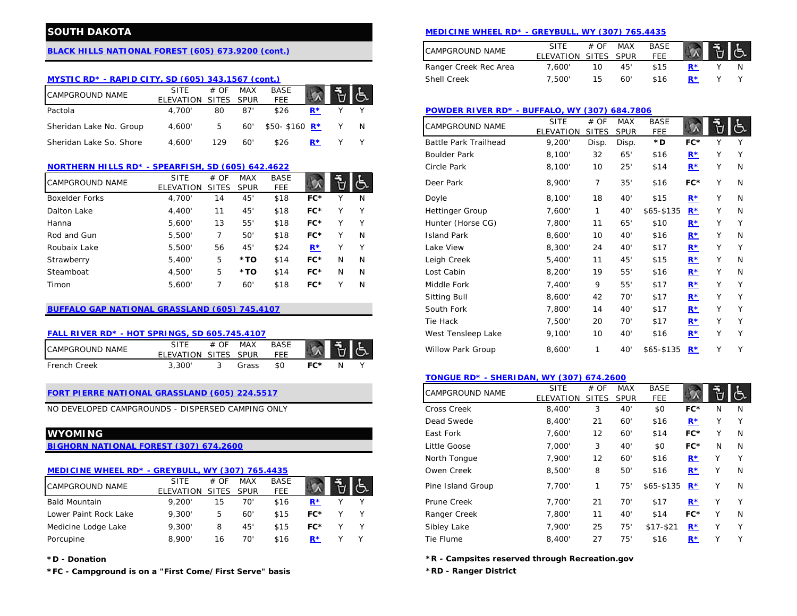# **[BLACK HILLS NATIONAL FOREST \(605\) 673.9200 \(cont.\)](http://www.fs.usda.gov/blackhills)**

# **[MYSTIC RD\\* - RAPID CITY, SD \(605\) 343.1567 \(cont.\)](http://www.fs.usda.gov/detail/blackhills/about-forest/districts/?cid=STELPRDB5110167)**

| <b>CAMPGROUND NAME</b>  | <b>SITE</b>          | # OF | MAX  | <b>BASE</b>   |  | 小气 |                                                                     |     |
|-------------------------|----------------------|------|------|---------------|--|----|---------------------------------------------------------------------|-----|
|                         | ELEVATION SITES SPUR |      |      | FEE           |  |    |                                                                     |     |
| Pactola                 | 4.700'               | 80   | -87' | \$26          |  |    | <b>POWDER RIVER RD* - BUFFALO, WY (307) 684.7806</b>                |     |
| Sheridan Lake No. Group | 4.600'               | 5    | 60'  | \$50-\$160 R* |  |    | <b>BASE</b><br>MAX<br># OF<br><b>SITE</b><br><b>CAMPGROUND NAME</b> | もし  |
|                         |                      |      |      |               |  |    | <b>FEE</b><br>ELEVATION SITES SPUR                                  |     |
| Sheridan Lake So. Shore | +.600'               | 129  | -60' | \$26          |  |    | Battle Park Trailhead<br>9.200'<br>Disp.<br>Disp.<br>*D             | FC* |

## **[NORTHERN HILLS RD\\* - SPEARFISH, SD \(605\) 642.4622](http://www.fs.usda.gov/detail/blackhills/about-forest/districts/?cid=STELPRDB5110169)**

| <b>CAMPGROUND NAME</b> | <b>SITE</b> | # OF         | <b>MAX</b>  | <b>BASE</b> |       |   | き            | Deer Park              | 8,900  |    | $35^{\circ}$ | \$16         | FC*                  |              |  |
|------------------------|-------------|--------------|-------------|-------------|-------|---|--------------|------------------------|--------|----|--------------|--------------|----------------------|--------------|--|
|                        | ELEVATION   | <b>SITES</b> | <b>SPUR</b> | <b>FEE</b>  |       |   |              |                        |        |    |              |              |                      |              |  |
| <b>Boxelder Forks</b>  | 4,700'      | 14           | 45          | \$18        | FC*   |   | N            | Doyle                  | 8,100' | 18 | 40'          | \$15         | $R^*$                |              |  |
| Dalton Lake            | 4,400       |              | 45'         | \$18        | FC*   |   |              | <b>Hettinger Group</b> | 7,600' |    | 40           | $$65 - $135$ | $R^*$                | v            |  |
| Hanna                  | 5,600'      | 13           | 55          | \$18        | FC*   |   | $\checkmark$ | Hunter (Horse CG)      | 7,800' |    | 65           | \$10         | $\mathbf{R}^{\star}$ |              |  |
| Rod and Gun            | 5,500'      |              | 50          | \$18        | FC*   |   | N            | <b>Island Park</b>     | 8,600  | 10 | 40'          | \$16         | $\mathbf{R}^{\star}$ |              |  |
| Roubaix Lake           | 5,500'      | 56           | 45'         | \$24        | $R^*$ |   | $\checkmark$ | Lake View              | 8,300' | 24 | 40'          | \$17         | $R^*$                |              |  |
| Strawberry             | 5,400'      | 5            | *TO         | \$14        | $FC*$ | N | N            | Leigh Creek            | 5,400' |    | 45'          | \$15         | $R^*$                |              |  |
| Steamboat              | 4.500'      | 5            | *TO         | \$14        | FC*   | N | N            | Lost Cabin             | 8.200' | 19 | $55^{\circ}$ | \$16         | $R^*$                | ν            |  |
| Timon                  | 5,600'      |              | 60'         | \$18        | FC*   |   | N            | Middle Fork            | 7,400' | Q  | 55'          | \$17         | $R^*$                | $\checkmark$ |  |

# **[BUFFALO GAP NATIONAL GRASSLAND \(605\) 745.4107](http://www.fs.usda.gov/wps/portal/fsinternet/!ut/p/c5/04_SB8K8xLLM9MSSzPy8xBz9CP0os3gjAwhwtDDw9_AI8zPwhQoY6IeDdGCqCPOBqwDLG-AAjgb6fh75uan6BdnZaY6OiooA1tkqlQ!!/dl3/d3/L2dJQSEvUUt3QS9ZQnZ3LzZfMjAwMDAwMDBBODBPSEhWTjJNMDAwMDAwMDA!/?navtype=BROWSEBYSUBJECT&cid)**

#### **[FALL RIVER RD\\* - HOT SPRINGS, SD 605.745.4107](http://www.fs.usda.gov/detail/nebraska/about-forest/offices/?cid=stelprdb5102915)**

| <b>CAMPGROUND NAME</b> | SITF<br>FLEVATION SITES SPUR | # $\cap$ F | MAX   | <b>BASE</b><br>FFF |     |  |
|------------------------|------------------------------|------------|-------|--------------------|-----|--|
| <b>French Creek</b>    | 3.300'                       |            | Grass | SO.                | FC* |  |

# **[FORT PIERRE NATIONAL GRASSLAND \(605\) 224.5517](http://www.fs.usda.gov/wps/portal/fsinternet/!ut/p/c5/04_SB8K8xLLM9MSSzPy8xBz9CP0os3gjAwhwtDDw9_AI8zPwhQoY6IeDdGCqCPOBqwDLG-AAjgb6fh75uan6BdnZaY6OiooA1tkqlQ!!/dl3/d3/L2dJQSEvUUt3QS9ZQnZ3LzZfMjAwMDAwMDBBODBPSEhWTjJNMDAwMDAwMDA!/?navtype=BROWSEBYSUBJECT&cid)**

## **[MEDICINE WHEEL RD\\* - GREYBULL, WY \(307\) 765.4435](http://www.fs.usda.gov/main/bighorn/about-forest/districts)**

| CAMPGROUND NAME       | <b>SITE</b><br>ELEVATION | # OF<br>SITES SPUR | <b>MAX</b> | <b>BASE</b><br>FEE |     | も | $\sqrt{5}$ | Pine Island Group | 7.700' |    | 75' | $$65-$135$ R <sup>*</sup> |      |  |
|-----------------------|--------------------------|--------------------|------------|--------------------|-----|---|------------|-------------------|--------|----|-----|---------------------------|------|--|
|                       |                          |                    |            |                    |     |   |            |                   |        |    |     |                           |      |  |
| <b>Bald Mountain</b>  | 9,200'                   |                    | 70'        | \$16               |     |   |            | Prune Creek       | 7.700' |    | 70' | \$17                      | $R*$ |  |
| Lower Paint Rock Lake | 9,300'                   |                    | 60'        | \$15               | FC* |   |            | Ranger Creek      | 7.800' |    | 40' | \$14                      | FC*  |  |
| Medicine Lodge Lake   | 9,300'                   |                    |            |                    | FC* |   |            | Sibley Lake       | 7.900' | 25 | 75' | $$17 - $21$               | ₽*   |  |
| Porcupine             | 8.900'                   | 16                 | 70'        | \$16               | D*  |   |            | Tie Flume         | 8,400  |    | 75' | \$16                      | $R*$ |  |

# **\*D - Donation**

**\*FC - Campground is on a "First Come/First Serve" basis**

# **SOUTH DAKOTA [MEDICINE WHEEL RD\\* - GREYBULL, WY \(307\) 765.4435](http://www.fs.usda.gov/main/bighorn/about-forest/districts)**

| <b>ICAMPGROUND NAME</b> | SITE<br>FLEVATION SITES SPUR | $#$ OF | <b>MAX</b> | <b>BASE</b><br>FFF |    |  |
|-------------------------|------------------------------|--------|------------|--------------------|----|--|
| Ranger Creek Rec Area   | 7.600'                       | 10     | 45'        | \$15               | R* |  |
| Shell Creek             | 7.500'                       | 15     | 60'        | \$16               | ₽* |  |

# POWDER RIVER RD<sup>\*</sup> - BUFFALO, WY (307) 684.7806

| 0-\$160                   | $R^*$                            | Υ | N | CAMPGROUND NAME              | <b>SITE</b>      | # OF           | <b>MAX</b>  | <b>BASE</b> |                                  |   |    |
|---------------------------|----------------------------------|---|---|------------------------------|------------------|----------------|-------------|-------------|----------------------------------|---|----|
|                           |                                  |   |   |                              | <b>ELEVATION</b> | <b>SITES</b>   | <b>SPUR</b> | <b>FEE</b>  |                                  |   | ලැ |
| \$26                      | $R^*$                            | Y | Υ | <b>Battle Park Trailhead</b> | 9,200'           | Disp.          | Disp.       | *D          | FC*                              | Y | Υ  |
|                           |                                  |   |   | <b>Boulder Park</b>          | 8,100'           | 32             | 65'         | \$16        | $R^*$                            | Υ | Υ  |
| <u>622</u>                |                                  |   |   | Circle Park                  | 8,100'           | 10             | 25'         | \$14        | $\underline{\mathbf{R}^{\star}}$ | Υ | N  |
| <b>BASE</b><br>FEE        |                                  |   |   | Deer Park                    | 8,900'           | $\overline{7}$ | 35'         | \$16        | FC*                              | Y | N  |
| \$18                      | FC*                              | Y | N | Doyle                        | 8,100'           | 18             | 40'         | \$15        | $R^*$                            | Y | N  |
| \$18                      | FC*                              | Υ | Υ | <b>Hettinger Group</b>       | 7,600'           | $\mathbf{1}$   | 40'         | \$65-\$135  | $R^*$                            | Y | N  |
| \$18                      | FC*                              | Υ | Υ | Hunter (Horse CG)            | 7,800'           | 11             | 65'         | \$10        | $R^{\star}$                      | Y | Υ  |
| \$18                      | FC*                              | Υ | N | <b>Island Park</b>           | 8,600'           | 10             | 40'         | \$16        | $R^{\star}$                      | Y | N  |
| \$24                      | $\underline{\mathbf{R}}^{\star}$ | Υ | Υ | Lake View                    | 8,300'           | 24             | 40'         | \$17        | $\underline{\mathbf{R}}^{\star}$ | Y | Υ  |
| \$14                      | FC*                              | N | N | Leigh Creek                  | 5,400'           | 11             | 45'         | \$15        | $\underline{\mathbf{R}^{\star}}$ | Y | N  |
| \$14                      | FC*                              | N | N | Lost Cabin                   | 8,200'           | 19             | 55'         | \$16        | $R^*$                            | Y | N  |
| \$18                      | FC*                              | Υ | N | Middle Fork                  | 7,400'           | 9              | 55'         | \$17        | $R^*$                            | Υ | Υ  |
|                           |                                  |   |   | Sitting Bull                 | 8,600'           | 42             | 70'         | \$17        | $R^*$                            | Υ | Υ  |
|                           |                                  |   |   | South Fork                   | 7,800'           | 14             | 40'         | \$17        | $R^*$                            | Y | Υ  |
|                           |                                  |   |   | Tie Hack                     | 7,500'           | 20             | 70'         | \$17        | ${\bf R}^{\star}$                | Y | Υ  |
|                           |                                  |   |   | West Tensleep Lake           | 9,100'           | 10             | 40'         | \$16        | $R^*$                            | Y | Υ  |
| <b>BASE</b><br><b>FEE</b> |                                  |   |   | Willow Park Group            | 8,600'           | 1              | 40'         | \$65-\$135  | $R^*$                            | Y | Υ  |

# **[TONGUE RD\\* - SHERIDAN, WY \(307\) 674.2600](http://www.fs.usda.gov/main/bighorn/about-forest/districts)**

| FORT PIERRE NATIONAL GRASSLAND (605) 224.5517<br>NO DEVELOPED CAMPGROUNDS - DISPERSED CAMPING ONLY |                          |                      |                           |                           |       | <b>CAMPGROUND NAME</b> | <b>SITE</b><br>ELEVATION | # OF<br><b>SITES</b> | <b>MAX</b><br><b>SPUR</b> | <b>BASE</b><br><b>FEE</b> |     |                           | $\overline{5}$ |              |                |
|----------------------------------------------------------------------------------------------------|--------------------------|----------------------|---------------------------|---------------------------|-------|------------------------|--------------------------|----------------------|---------------------------|---------------------------|-----|---------------------------|----------------|--------------|----------------|
|                                                                                                    |                          |                      |                           |                           |       |                        |                          | Cross Creek          | 8.400                     | 3                         | 40' | \$0                       | FC*            | N            | - N            |
|                                                                                                    |                          |                      |                           |                           |       |                        |                          | Dead Swede           | 8,400'                    | 21                        | 60' | \$16                      | $R^{\star}$    | ٧            | V              |
| <b>WYOMI NG</b>                                                                                    |                          |                      |                           |                           |       |                        |                          | East Fork            | 7,600'                    | 12                        | 60' | \$14                      | $FC*$          | ν            | - N            |
| BIGHORN NATIONAL FOREST (307) 674.2600                                                             |                          |                      |                           |                           |       |                        |                          | Little Goose         | 7,000'                    | 3                         | 40' | \$0                       | FC*            | N            | $\overline{N}$ |
|                                                                                                    |                          |                      |                           |                           |       |                        |                          | North Tongue         | 7.900'                    | 12                        | 60' | \$16                      | $R^{\star}$    |              | V              |
| MEDICINE WHEEL RD* - GREYBULL, WY (307) 765.4435                                                   |                          |                      |                           |                           |       |                        |                          | Owen Creek           | 8,500'                    | 8                         | 50' | \$16                      | $R^*$          |              | - N            |
| CAMPGROUND NAME                                                                                    | <b>SITE</b><br>ELEVATION | # OF<br><b>SITES</b> | <b>MAX</b><br><b>SPUR</b> | <b>BASE</b><br><b>FEE</b> |       |                        | 百点                       | Pine Island Group    | 7.700'                    |                           | 75' | $$65-$135$ R <sup>*</sup> |                |              | - N            |
| Bald Mountain                                                                                      | 9.200'                   | 15                   | 70'                       | \$16                      | $R^*$ |                        |                          | Prune Creek          | 7.700'                    | 21                        | 70' | \$17                      | $R^*$          |              | $\vee$         |
| Lower Paint Rock Lake                                                                              | 9.300'                   | 5                    | 60'                       | \$15                      | FC*   |                        |                          | Ranger Creek         | 7,800'                    | 11                        | 40' | \$14                      | $FC*$          |              | - N            |
| Medicine Lodge Lake                                                                                | 9.300'                   | 8                    | 45'                       | \$15                      | FC*   |                        | $\vee$                   | Sibley Lake          | 7.900'                    | 25                        | 75' | $$17 - $21$               | $R^*$          | $\checkmark$ | $\checkmark$   |
| Porcupine                                                                                          | 8.900'                   | 16                   | 70'                       | \$16                      | $R^*$ |                        | Υ                        | Tie Flume            | 8.400                     | 27                        | 75' | \$16                      | $R^*$          |              | $\checkmark$   |
|                                                                                                    |                          |                      |                           |                           |       |                        |                          |                      |                           |                           |     |                           |                |              |                |

**\*R - Campsites reserved through Recreation.gov**

**\*RD - Ranger District**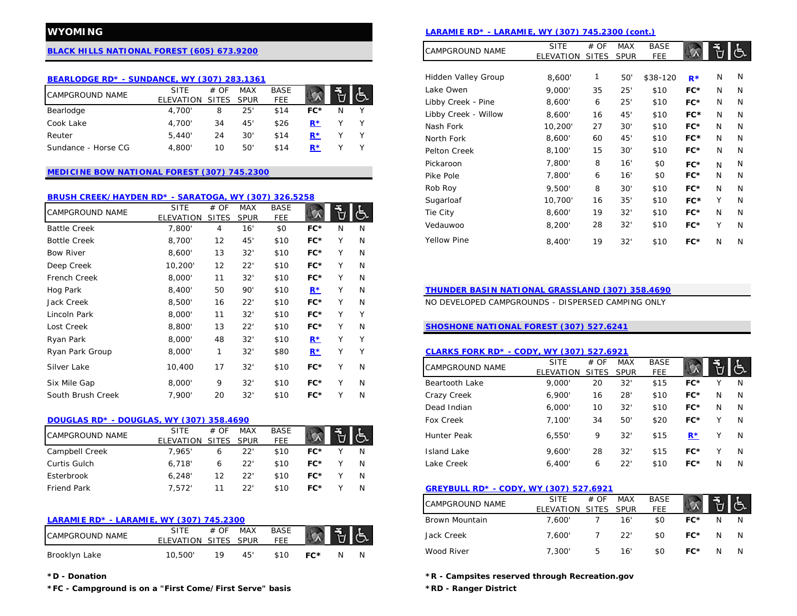# **[BLACK HILLS NATIONAL FOREST \(605\) 673.9200](http://www.fs.usda.gov/blackhills)**

## **[BEARLODGE RD\\* - SUNDANCE, WY \(307\) 283.1361](http://www.fs.usda.gov/detail/blackhills/about-forest/districts/?cid=STELPRDB5110172)** N

| <b>CAMPGROUND NAME</b> | <b>SITE</b> | #OF        | <b>MAX</b> | <b>BASE</b> |       |  |
|------------------------|-------------|------------|------------|-------------|-------|--|
|                        | FI FVATION  | SITES SPUR |            | <b>FEE</b>  |       |  |
| Bearlodge              | 4.700       |            | 25'        | \$14        | FC*   |  |
| Cook Lake              | 4.700'      | 34         | 45'        | \$26        | $R^*$ |  |
| Reuter                 | 5,440'      | 24         | 30'        | \$14        | $R^*$ |  |
| Sundance - Horse CG    | 4.800'      | 10         | 50'        | \$14        | $R^*$ |  |

### **[MEDICINE BOW NATIONAL FOREST \(307\) 745.2300](http://www.fs.usda.gov/mbr)**

#### **[BRUSH CREEK/HAYDEN RD\\* - SARATOGA, WY \(307\) 326.5258](http://www.fs.usda.gov/detail/mbr/about-forest/districts/?cid=fswdev3_008655)**

| <b>CAMPGROUND NAME</b> | <b>SITE</b>      | # OF         | <b>MAX</b>  | <b>BASE</b> |       | 립            | Iج ا | FC*<br>19<br>32'<br>\$10<br>Tie City<br>8,600'<br>N<br>N                                                                                         |
|------------------------|------------------|--------------|-------------|-------------|-------|--------------|------|--------------------------------------------------------------------------------------------------------------------------------------------------|
|                        | <b>ELEVATION</b> | <b>SITES</b> | <b>SPUR</b> | FEE         |       |              |      |                                                                                                                                                  |
| <b>Battle Creek</b>    | 7,800'           | 4            | 16'         | \$0         | $FC*$ | N            | N    | 32'<br>\$10<br>$FC*$<br>Vedauwoo<br>28<br>8,200'<br>v<br>N                                                                                       |
| <b>Bottle Creek</b>    | 8,700'           | 12           | 45'         | \$10        | $FC*$ |              | N    | Yellow Pine<br>32'<br>FC*<br>19<br>\$10<br>N<br>8,400'<br>N                                                                                      |
| <b>Bow River</b>       | 8,600'           | 13           | 32'         | \$10        | $FC*$ |              | N    |                                                                                                                                                  |
| Deep Creek             | 10,200'          | 12           | 22'         | \$10        | $FC*$ |              | N    |                                                                                                                                                  |
| French Creek           | 8,000'           | 11           | 32'         | \$10        | $FC*$ | $\checkmark$ | N    |                                                                                                                                                  |
| Hog Park               | 8,400'           | 50           | 90'         | \$10        | $R^*$ |              | N    | <b>THUNDER BASIN NATIONAL GRASSLAND (307) 358.4690</b>                                                                                           |
| Jack Creek             | 8,500'           | 16           | 22'         | \$10        | $FC*$ |              | N    | NO DEVELOPED CAMPGROUNDS - DISPERSED CAMPING ONLY                                                                                                |
| Lincoln Park           | 8,000'           | 11           | 32'         | \$10        | $FC*$ | $\vee$       | Υ    |                                                                                                                                                  |
| Lost Creek             | 8,800'           | 13           | 22'         | \$10        | $FC*$ |              | N    | SHOSHONE NATIONAL FOREST (307) 527.6241                                                                                                          |
| Ryan Park              | 8,000'           | 48           | 32'         | \$10        | $R^*$ | Υ            | Υ    |                                                                                                                                                  |
| Ryan Park Group        | 8,000'           | $\mathbf{1}$ | 32'         | \$80        | $R^*$ | v            | Υ    | <b>CLARKS FORK RD* - CODY, WY (307) 527.6921</b>                                                                                                 |
| Silver Lake            | 10,400           | 17           | 32'         | \$10        | $FC*$ | $\vee$       | N    | <b>BASE</b><br># OF<br><b>MAX</b><br>්<br><b>SITE</b><br><b>CAMPGROUND NAME</b><br><b>FEE</b><br><b>SPUR</b><br><b>ELEVATION</b><br><b>SITES</b> |
| Six Mile Gap           | 8,000'           | 9            | 32'         | \$10        | $FC*$ | $\checkmark$ | N    | 32'<br>\$15<br>FC*<br>9,000'<br>20<br>Beartooth Lake                                                                                             |
| South Brush Creek      | 7,900'           | 20           | 32'         | \$10        | $FC*$ |              | N    | 28'<br>FC*<br>Crazy Creek<br>6,900'<br>16<br>\$10<br>N                                                                                           |

## **[DOUGLAS RD\\* - DOUGLAS, WY \(307\) 358.4690](http://www.fs.usda.gov/detail/mbr/about-forest/districts/?cid=fswdev3_008657)**

| <b>CAMPGROUND NAME</b> | <b>SITE</b>     | # OF | <b>MAX</b>  | <b>BASE</b> |     |     | <b>Hunter Peak</b>                     | 6,550' |    | 32' | \$15 | R*  |   |  |
|------------------------|-----------------|------|-------------|-------------|-----|-----|----------------------------------------|--------|----|-----|------|-----|---|--|
|                        | ELEVATION SITES |      | <b>SPUR</b> | <b>FEE</b>  |     | IIは |                                        |        |    |     |      |     |   |  |
| Campbell Creek         | .965'           |      | 22"         | \$10        | FC* |     | Island Lake                            | 9.600  | 28 | 32' | \$15 | FC* |   |  |
| Curtis Gulch           | 6.718'          |      | 22'         | \$10        | FC* |     | Lake Creek                             | 6.400' | 6  | 22' | \$10 | FC* | N |  |
| Esterbrook             | 6,248'          |      | 22'         | \$10        | FC* |     |                                        |        |    |     |      |     |   |  |
| <b>Friend Park</b>     | , 572'          |      | 22'         | \$10        | FC* |     | GREYBULL RD* - CODY, WY (307) 527.6921 |        |    |     |      |     |   |  |

### **[LARAMIE RD\\* - LARAMIE, WY \(307\) 745.2300](http://www.fs.usda.gov/detail/mbr/about-forest/districts/?cid=stelprdb5125288)**

| <b>CAMPGROUND NAME</b> | <b>SITE</b><br>ELEVATION SITES SPUR | # OF | MAX | BASE<br>FEE | $\begin{array}{c c c c c} \hline \times & \frac{\pi}{2} & \frac{\pi}{2} & \frac{\pi}{2} \end{array}$ |    |  |
|------------------------|-------------------------------------|------|-----|-------------|------------------------------------------------------------------------------------------------------|----|--|
| Brooklyn Lake          | 10.500'                             | 1 Q  | 45' | \$10        | FC*                                                                                                  | N. |  |

**\*FC - Campground is on a "First Come/First Serve" basis \*RD - Ranger District**

# **WYOMING [LARAMIE RD\\* - LARAMIE, WY \(307\) 745.2300 \(cont.\)](http://www.fs.usda.gov/detail/mbr/about-forest/districts/?cid=stelprdb5125288)**

|                     |       |   |   | CAMPGROUND NAME      | <b>SITE</b> | # OF         | MAX         | <b>BASE</b> |       |   |   |
|---------------------|-------|---|---|----------------------|-------------|--------------|-------------|-------------|-------|---|---|
|                     |       |   |   |                      | ELEVATION   | <b>SITES</b> | <b>SPUR</b> | <b>FEE</b>  |       |   |   |
|                     |       |   |   |                      |             |              |             |             |       |   |   |
|                     |       |   |   | Hidden Valley Group  | 8,600'      | 1            | 50'         | \$38-120    | $R*$  | N | N |
| <b>BASE</b>         |       |   |   | Lake Owen            | 9,000'      | 35           | 25'         | \$10        | FC*   | N | N |
| FEE                 |       |   |   | Libby Creek - Pine   | 8,600'      | 6            | 25'         | \$10        | FC*   | N | N |
| \$14                | FC*   | N | Υ | Libby Creek - Willow | 8,600'      | 16           | 45'         | \$10        | FC*   | N | N |
| \$26                | $R^*$ | Υ | Υ | Nash Fork            | 10,200'     | 27           | 30'         | \$10        | $FC*$ | N | N |
| \$14                | $R^*$ | Υ | Υ | North Fork           | 8,600'      | 60           | 45'         | \$10        | FC*   | N | N |
| \$14                | $R^*$ | Y | Υ | Pelton Creek         | 8,100'      | 15           | 30'         | \$10        | FC*   | N | N |
|                     |       |   |   | Pickaroon            | 7,800'      | 8            | 16'         | \$0         | FC*   | N | N |
|                     |       |   |   | Pike Pole            | 7,800'      | 6            | 16'         | \$0         | FC*   | N | N |
|                     |       |   |   | Rob Roy              | 9,500'      | 8            | 30'         | \$10        | FC*   | N | N |
| 326.5258            |       |   |   | Sugarloaf            | 10,700'     | 16           | 35'         | \$10        | FC*   | Y | N |
| <b>BASE</b><br>FEE. |       |   |   | Tie City             | 8,600'      | 19           | 32'         | \$10        | FC*   | N | N |
| \$0                 | FC*   | N | N | Vedauwoo             | 8,200'      | 28           | 32'         | \$10        | FC*   | Y | N |
| \$10                | FC*   | Y | N | <b>Yellow Pine</b>   | 8,400'      | 19           | 32'         | \$10        | FC*   | N | N |
|                     |       |   |   |                      |             |              |             |             |       |   |   |

# **[THUNDER BASIN NATIONAL GRASSLAND \(307\) 358.4690](http://www.fs.usda.gov/detail/mbr/about-forest/districts/?cid=fswdev3_008657)**

# **[SHOSHONE NATIONAL FOREST \(307\) 527.6241](http://www.fs.usda.gov/shoshone)**

#### Ryan Park Group 8,000' 1 32' \$80 **[R\\*](http://www.recreation.gov/camping/ryan-park/r/campgroundDetails.do?contractCode=NRSO&parkId=70023)** Y Y **[CLARKS FORK RD\\* - CODY, WY \(307\) 527.6921](http://www.fs.usda.gov/detail/shoshone/about-forest/districts/?cid=stelprdb5191025)**

| Silver Lake                              | 10,400                   | 17                   | $32^{\circ}$              | \$10                      | FC*   | N | <b>CAMPGROUND NAME</b> | <b>SITE</b><br>ELEVATION | # OF<br><b>SITES</b> | MAX<br><b>SPUR</b> | <b>BASE</b><br>FEE |       | $\ddot{\theta}$ | き   |
|------------------------------------------|--------------------------|----------------------|---------------------------|---------------------------|-------|---|------------------------|--------------------------|----------------------|--------------------|--------------------|-------|-----------------|-----|
| Six Mile Gap                             | 8,000                    | 9                    | $32^{\circ}$              | \$10                      | FC*   | N | Beartooth Lake         | 9.000                    | 20                   | 32'                | \$15               | FC*   |                 | N.  |
| South Brush Creek                        | 7,900'                   | 20                   | 32'                       | \$10                      | FC*   | N | Crazy Creek            | 6,900'                   | 16                   | 28'                | \$10               | $FC*$ | N               | - N |
|                                          |                          |                      |                           |                           |       |   | Dead Indian            | 6.000'                   | 10                   | 32'                | \$10               | $FC*$ | N               | - N |
| DOUGLAS RD* - DOUGLAS, WY (307) 358.4690 |                          |                      |                           |                           |       |   | Fox Creek              | 7.100'                   | 34                   | 50'                | \$20               | $FC*$ |                 | N.  |
| CAMPGROUND NAME                          | <b>SITE</b><br>ELEVATION | # OF<br><b>SITES</b> | <b>MAX</b><br><b>SPUR</b> | <b>BASE</b><br><b>FEE</b> |       |   | <b>Hunter Peak</b>     | 6,550'                   | 9                    | 32                 | \$15               | $R^*$ |                 | N.  |
| Campbell Creek                           | 7.965'                   | 6                    | 22'                       | \$10                      | FC*   | N | Island Lake            | 9,600                    | 28                   | 32                 | \$15               | $FC*$ |                 | N   |
| Curtis Gulch                             | 6.718'                   | 6                    | 22'                       | \$10                      | $FC*$ | N | Lake Creek             | 6,400'                   | O                    | 22'                | \$10               | $FC*$ |                 | - N |

### Friend Park 7,572' 11 22' \$10 **FC\*** Y N **[GREYBULL RD\\* - CODY, WY \(307\) 527.6921](http://www.fs.usda.gov/detail/shoshone/about-forest/districts/?cid=stelprdb5191027)**

|                    |          | <b>CAMPGROUND NAME</b> | <b>SITE</b><br><b>ELEVATION</b> | # OF<br>SITES SPUR | <b>MAX</b> | <b>BASE</b><br>FEE |       |   |   |
|--------------------|----------|------------------------|---------------------------------|--------------------|------------|--------------------|-------|---|---|
|                    |          | Brown Mountain         | 7.600'                          |                    | 16'        | \$0                | FC*   |   |   |
| <b>BASE</b><br>FEE |          | Jack Creek             | 7.600'                          |                    | 22'        | \$0                | $FC*$ | N |   |
| \$10               | FC*<br>N | Wood River             | 7.300'                          | b                  | 16'        | \$0                | FC*   |   | N |

**\*D - Donation \*R - Campsites reserved through Recreation.gov**